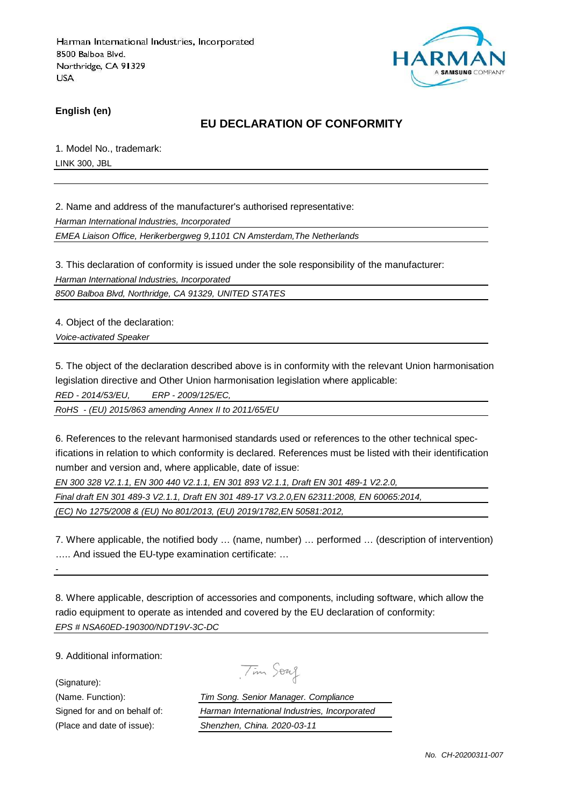

**English (en)**

## **EU DECLARATION OF CONFORMITY**

1. Model No., trademark: LINK 300, JBL

2. Name and address of the manufacturer's authorised representative:

Harman International Industries, Incorporated

EMEA Liaison Office, Herikerbergweg 9,1101 CN Amsterdam,The Netherlands

3. This declaration of conformity is issued under the sole responsibility of the manufacturer: Harman International Industries, Incorporated

8500 Balboa Blvd, Northridge, CA 91329, UNITED STATES

4. Object of the declaration:

Voice-activated Speaker

5. The object of the declaration described above is in conformity with the relevant Union harmonisation legislation directive and Other Union harmonisation legislation where applicable:

RED - 2014/53/EU, ERP - 2009/125/EC,

RoHS - (EU) 2015/863 amending Annex II to 2011/65/EU

6. References to the relevant harmonised standards used or references to the other technical specifications in relation to which conformity is declared. References must be listed with their identification number and version and, where applicable, date of issue:

EN 300 328 V2.1.1, EN 300 440 V2.1.1, EN 301 893 V2.1.1, Draft EN 301 489-1 V2.2.0,

Final draft EN 301 489-3 V2.1.1, Draft EN 301 489-17 V3.2.0,EN 62311:2008, EN 60065:2014,

(EC) No 1275/2008 & (EU) No 801/2013, (EU) 2019/1782,EN 50581:2012,

7. Where applicable, the notified body … (name, number) … performed … (description of intervention) ….. And issued the EU-type examination certificate: …

8. Where applicable, description of accessories and components, including software, which allow the radio equipment to operate as intended and covered by the EU declaration of conformity: EPS # NSA60ED-190300/NDT19V-3C-DC

9. Additional information:

(Signature):

-

Tim Soug

(Name. Function): Tim Song. Senior Manager. Compliance Signed for and on behalf of: Harman International Industries, Incorporated (Place and date of issue): Shenzhen, China. 2020-03-11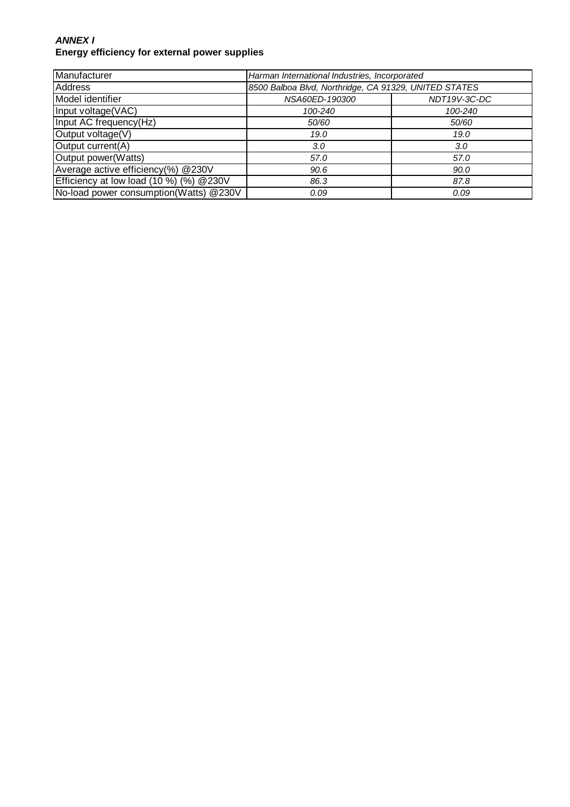#### **ANNEX I Energy efficiency for external power supplies**

| Manufacturer                             | Harman International Industries, Incorporated         |              |
|------------------------------------------|-------------------------------------------------------|--------------|
| <b>Address</b>                           | 8500 Balboa Blvd, Northridge, CA 91329, UNITED STATES |              |
| Model identifier                         | NSA60ED-190300                                        | NDT19V-3C-DC |
| Input voltage(VAC)                       | 100-240                                               | 100-240      |
| Input AC frequency(Hz)                   | 50/60                                                 | 50/60        |
| Output voltage(V)                        | 19.0                                                  | 19.0         |
| Output current(A)                        | 3.0                                                   | 3.0          |
| Output power(Watts)                      | 57.0                                                  | 57.0         |
| Average active efficiency(%) @230V       | 90.6                                                  | 90.0         |
| Efficiency at low load (10 %) (%) @ 230V | 86.3                                                  | 87.8         |
| No-load power consumption(Watts) @230V   | 0.09                                                  | 0.09         |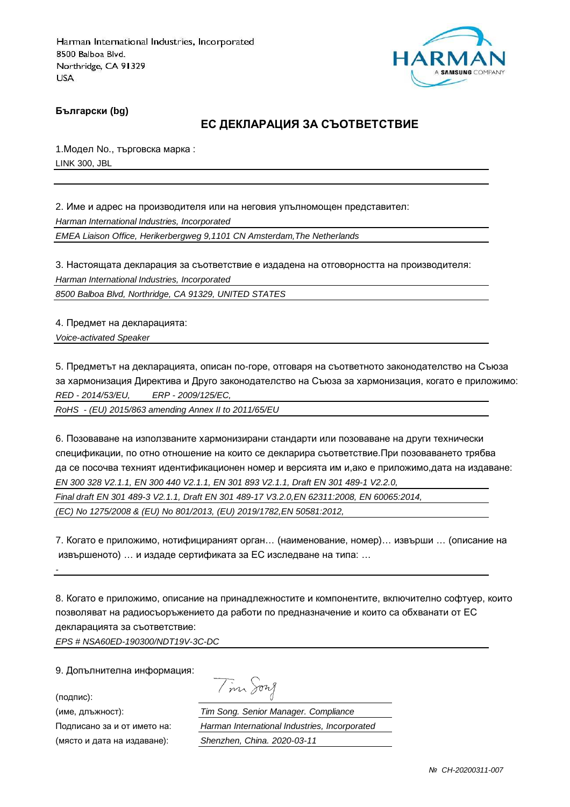

**Български (bg)**

## **ЕС ДЕКЛАРАЦИЯ ЗА СЪОТВЕТСТВИЕ**

1.Модел No., търговска марка : LINK 300, JBL

2. Име и адрес на производителя или на неговия упълномощен представител: Harman International Industries, Incorporated EMEA Liaison Office, Herikerbergweg 9,1101 CN Amsterdam,The Netherlands

3. Настоящата декларация за съответствие е издадена на отговорността на производителя: Harman International Industries, Incorporated

8500 Balboa Blvd, Northridge, CA 91329, UNITED STATES

4. Предмет на декларацията: Voice-activated Speaker

5. Предметът на декларацията, описан по-горе, отговаря на съответното законодателство на Съюза за хармонизация Директива и Друго законодателство на Съюза за хармонизация, когато е приложимо: RED - 2014/53/EU, ERP - 2009/125/EC,

RoHS - (EU) 2015/863 amending Annex II to 2011/65/EU

6. Позоваване на използваните хармонизирани стандарти или позоваване на други технически спецификации, по отно отношение на които се декларира съответствие.При позоваването трябва да се посочва техният идентификационен номер и версията им и,ако е приложимо,дата на издаване: EN 300 328 V2.1.1, EN 300 440 V2.1.1, EN 301 893 V2.1.1, Draft EN 301 489-1 V2.2.0, Final draft EN 301 489-3 V2.1.1, Draft EN 301 489-17 V3.2.0,EN 62311:2008, EN 60065:2014, (EC) No 1275/2008 & (EU) No 801/2013, (EU) 2019/1782,EN 50581:2012,

7. Когато е приложимо, нотифицираният орган… (наименование, номер)… извърши … (описание на извършеното) … и издаде сертификата за ЕС изследване на типа: …

8. Когато е приложимо, описание на принадлежностите и компонентите, включително софтуер, които позволяват на радиосъоръжението да работи по предназначение и които са обхванати от ЕС декларацията за съответствие:

EPS # NSA60ED-190300/NDT19V-3C-DC

9. Допълнителна информация:

(подпис):

-

Tim Song

(име, длъжност): Tim Song. Senior Manager. Compliance Подписано за и от името на: Harman International Industries, Incorporated (място и дата на издаване): Shenzhen, China. 2020-03-11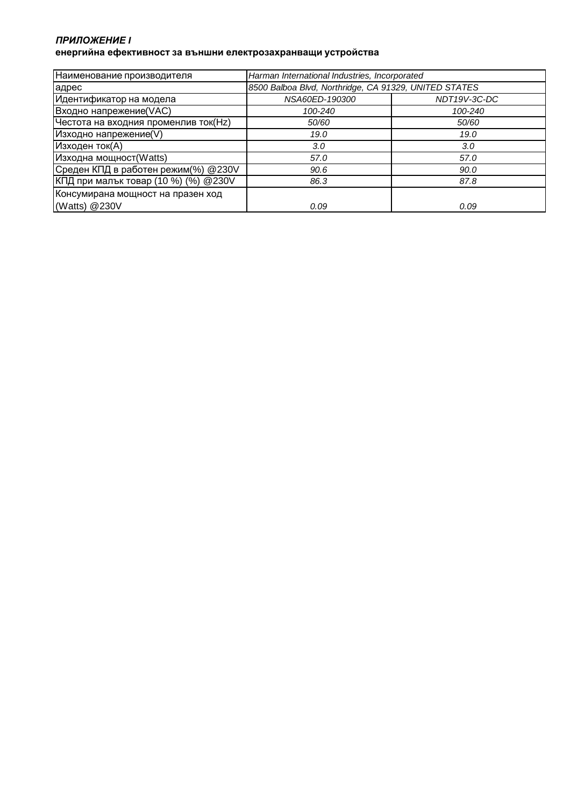#### *ПРИЛОЖЕНИЕ* **I енергийна ефективност за външни електрозахранващи устройства**

| Наименование производителя           | Harman International Industries, Incorporated         |              |
|--------------------------------------|-------------------------------------------------------|--------------|
| адрес                                | 8500 Balboa Blvd, Northridge, CA 91329, UNITED STATES |              |
| Идентификатор на модела              | NSA60ED-190300                                        | NDT19V-3C-DC |
| Входно напрежение(VAC)               | 100-240                                               | 100-240      |
| Честота на входния променлив ток(Hz) | 50/60                                                 | 50/60        |
| Изходно напрежение(V)                | 19.0                                                  | 19.0         |
| Изходен ток(А)                       | 3.0                                                   | 3.0          |
| Изходна мощност(Watts)               | 57.0                                                  | 57.0         |
| Среден КПД в работен режим(%) @230V  | 90.6                                                  | 90.0         |
| КПД при малък товар (10 %) (%) @230V | 86.3                                                  | 87.8         |
| Консумирана мощност на празен ход    |                                                       |              |
| (Watts) @230V                        | 0.09                                                  | 0.09         |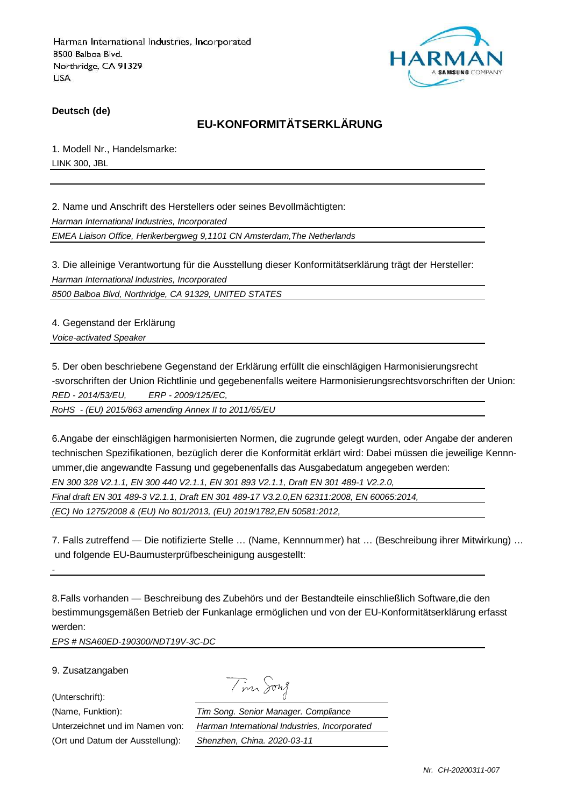

**Deutsch (de)**

# **EU-KONFORMITÄTSERKLÄRUNG**

1. Modell Nr., Handelsmarke: LINK 300, JBL

2. Name und Anschrift des Herstellers oder seines Bevollmächtigten: Harman International Industries, Incorporated EMEA Liaison Office, Herikerbergweg 9,1101 CN Amsterdam,The Netherlands

3. Die alleinige Verantwortung für die Ausstellung dieser Konformitätserklärung trägt der Hersteller: Harman International Industries, Incorporated

8500 Balboa Blvd, Northridge, CA 91329, UNITED STATES

4. Gegenstand der Erklärung Voice-activated Speaker

5. Der oben beschriebene Gegenstand der Erklärung erfüllt die einschlägigen Harmonisierungsrecht -svorschriften der Union Richtlinie und gegebenenfalls weitere Harmonisierungsrechtsvorschriften der Union: RED - 2014/53/EU, ERP - 2009/125/EC,

RoHS - (EU) 2015/863 amending Annex II to 2011/65/EU

6.Angabe der einschlägigen harmonisierten Normen, die zugrunde gelegt wurden, oder Angabe der anderen technischen Spezifikationen, bezüglich derer die Konformität erklärt wird: Dabei müssen die jeweilige Kennnummer,die angewandte Fassung und gegebenenfalls das Ausgabedatum angegeben werden: EN 300 328 V2.1.1, EN 300 440 V2.1.1, EN 301 893 V2.1.1, Draft EN 301 489-1 V2.2.0, Final draft EN 301 489-3 V2.1.1, Draft EN 301 489-17 V3.2.0,EN 62311:2008, EN 60065:2014,

(EC) No 1275/2008 & (EU) No 801/2013, (EU) 2019/1782,EN 50581:2012,

7. Falls zutreffend — Die notifizierte Stelle … (Name, Kennnummer) hat … (Beschreibung ihrer Mitwirkung) … und folgende EU-Baumusterprüfbescheinigung ausgestellt:

8.Falls vorhanden — Beschreibung des Zubehörs und der Bestandteile einschließlich Software,die den bestimmungsgemäßen Betrieb der Funkanlage ermöglichen und von der EU-Konformitätserklärung erfasst werden:

EPS # NSA60ED-190300/NDT19V-3C-DC

9. Zusatzangaben

(Unterschrift):

-

| $\overline{\phantom{a}}$ | $\eta\gamma\lambda$ |
|--------------------------|---------------------|
|--------------------------|---------------------|

(Name, Funktion): Tim Song. Senior Manager. Compliance Unterzeichnet und im Namen von: Harman International Industries, Incorporated (Ort und Datum der Ausstellung): Shenzhen, China. 2020-03-11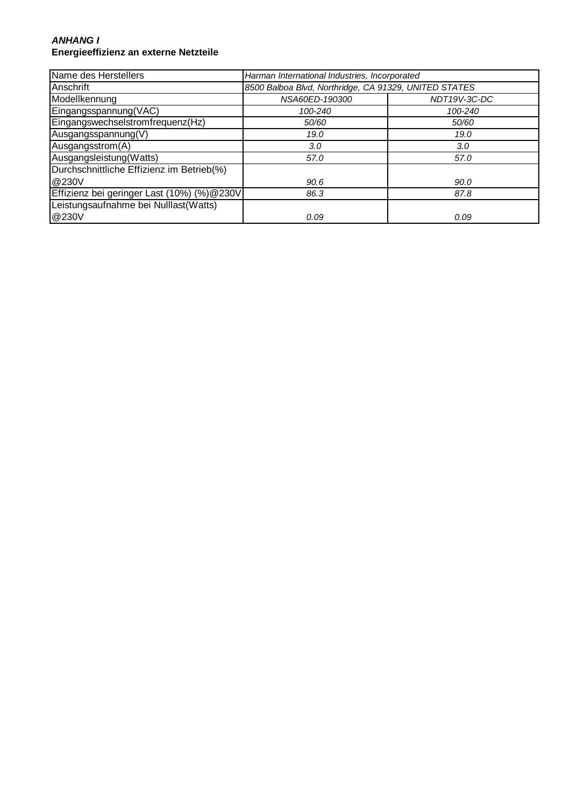#### **ANHANG I Energieeffizienz an externe Netzteile**

| Name des Herstellers                       | Harman International Industries, Incorporated         |              |
|--------------------------------------------|-------------------------------------------------------|--------------|
| Anschrift                                  | 8500 Balboa Blvd, Northridge, CA 91329, UNITED STATES |              |
| Modellkennung                              | NSA60ED-190300                                        | NDT19V-3C-DC |
| Eingangsspannung(VAC)                      | 100-240                                               | 100-240      |
| Eingangswechselstromfrequenz(Hz)           | 50/60                                                 | 50/60        |
| Ausgangsspannung(V)                        | 19.0                                                  | 19.0         |
| Ausgangsstrom(A)                           | 3.0                                                   | 3.0          |
| Ausgangsleistung(Watts)                    | 57.0                                                  | 57.0         |
| Durchschnittliche Effizienz im Betrieb(%)  |                                                       |              |
| @230V                                      | 90.6                                                  | 90.0         |
| Effizienz bei geringer Last (10%) (%)@230V | 86.3                                                  | 87.8         |
| Leistungsaufnahme bei Nulllast(Watts)      |                                                       |              |
| @230V                                      | 0.09                                                  | 0.09         |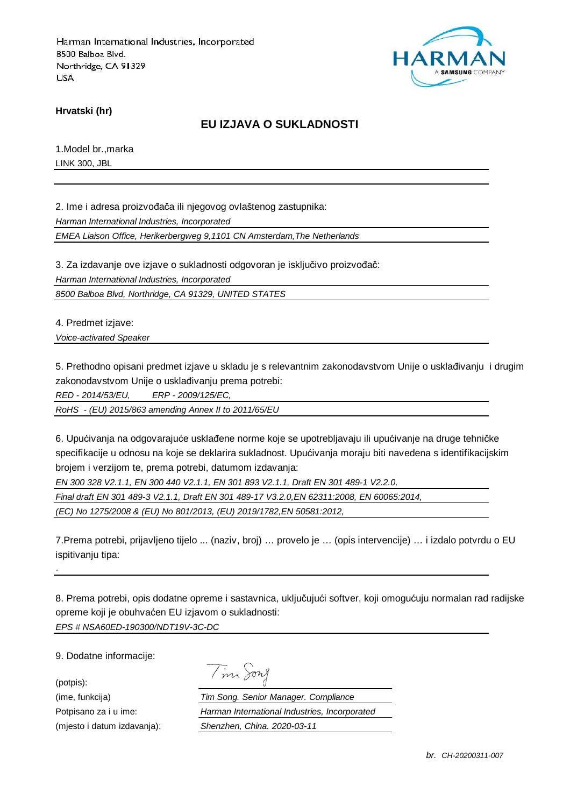

**Hrvatski (hr)**

## **EU IZJAVA O SUKLADNOSTI**

1.Model br.,marka LINK 300, JBL

2. Ime i adresa proizvođača ili njegovog ovlaštenog zastupnika: Harman International Industries, Incorporated EMEA Liaison Office, Herikerbergweg 9,1101 CN Amsterdam,The Netherlands

3. Za izdavanje ove izjave o sukladnosti odgovoran je isključivo proizvođač:

Harman International Industries, Incorporated

8500 Balboa Blvd, Northridge, CA 91329, UNITED STATES

4. Predmet izjave:

Voice-activated Speaker

5. Prethodno opisani predmet izjave u skladu je s relevantnim zakonodavstvom Unije o usklađivanju i drugim zakonodavstvom Unije o usklađivanju prema potrebi:

RED - 2014/53/EU, ERP - 2009/125/EC,

RoHS - (EU) 2015/863 amending Annex II to 2011/65/EU

6. Upućivanja na odgovarajuće usklađene norme koje se upotrebljavaju ili upućivanje na druge tehničke specifikacije u odnosu na koje se deklarira sukladnost. Upućivanja moraju biti navedena s identifikacijskim brojem i verzijom te, prema potrebi, datumom izdavanja:

EN 300 328 V2.1.1, EN 300 440 V2.1.1, EN 301 893 V2.1.1, Draft EN 301 489-1 V2.2.0,

Final draft EN 301 489-3 V2.1.1, Draft EN 301 489-17 V3.2.0,EN 62311:2008, EN 60065:2014,

(EC) No 1275/2008 & (EU) No 801/2013, (EU) 2019/1782,EN 50581:2012,

7.Prema potrebi, prijavljeno tijelo ... (naziv, broj) … provelo je … (opis intervencije) … i izdalo potvrdu o EU ispitivanju tipa:

8. Prema potrebi, opis dodatne opreme i sastavnica, uključujući softver, koji omogućuju normalan rad radijske opreme koji je obuhvaćen EU izjavom o sukladnosti: EPS # NSA60ED-190300/NDT19V-3C-DC

9. Dodatne informacije:

-

(potpis):

|  | 172.7 |
|--|-------|
|  |       |

(ime, funkcija) Tim Song. Senior Manager. Compliance Potpisano za i u ime: Harman International Industries, Incorporated (mjesto i datum izdavanja): Shenzhen, China. 2020-03-11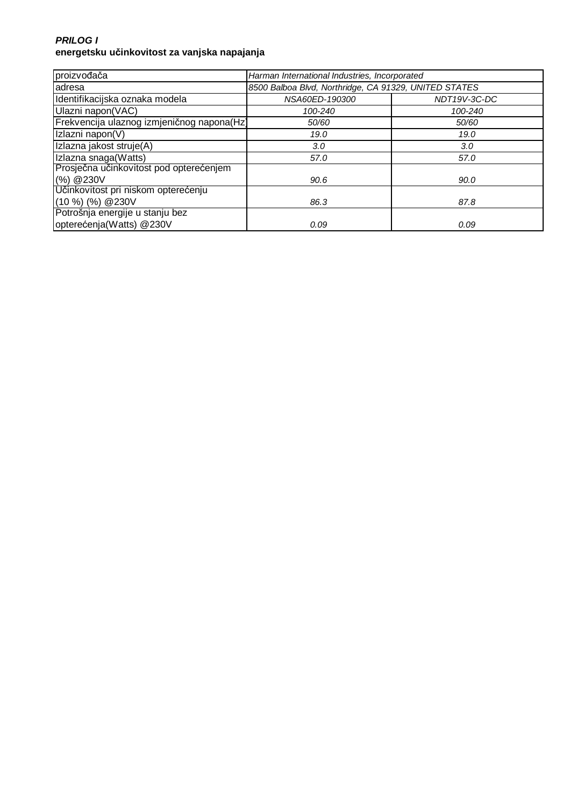### **PRILOG I energetsku učinkovitost za vanjska napajanja**

| proizvođača                                | Harman International Industries, Incorporated         |                  |
|--------------------------------------------|-------------------------------------------------------|------------------|
| adresa                                     | 8500 Balboa Blvd, Northridge, CA 91329, UNITED STATES |                  |
| Identifikacijska oznaka modela             | NSA60ED-190300                                        | NDT19V-3C-DC     |
| Ulazni napon(VAC)                          | 100-240                                               | 100-240          |
| Frekvencija ulaznog izmjeničnog napona(Hz) | 50/60                                                 | 50/60            |
| Izlazni napon(V)                           | 19.0                                                  | 19.0             |
| Izlazna jakost struje(A)                   | 3.0                                                   | 3.0 <sub>2</sub> |
| Izlazna snaga(Watts)                       | 57.0                                                  | 57.0             |
| Prosječna učinkovitost pod opterećenjem    |                                                       |                  |
| (%) @ 230V                                 | 90.6                                                  | 90.0             |
| Učinkovitost pri niskom opterećenju        |                                                       |                  |
| $(10 %)$ $(%)$ $@230V$                     | 86.3                                                  | 87.8             |
| Potrošnja energije u stanju bez            |                                                       |                  |
| opterećenja(Watts) @230V                   | 0.09                                                  | 0.09             |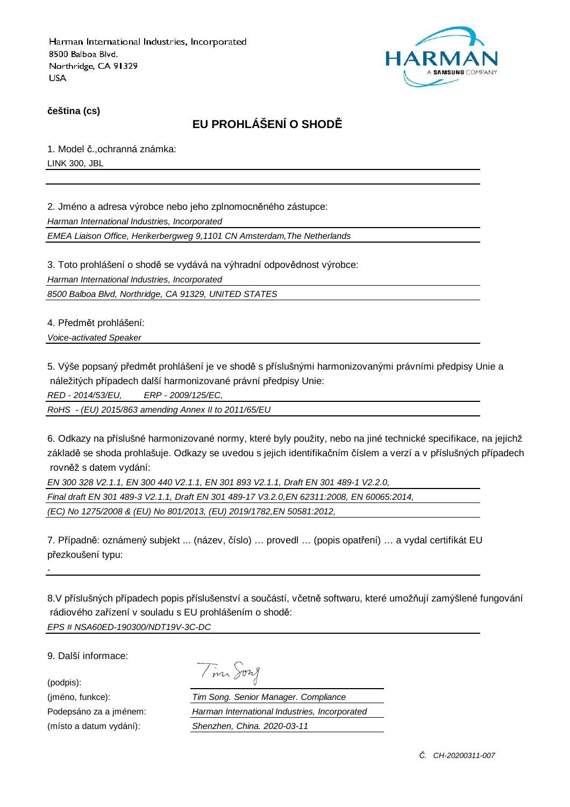

**čeština (cs)**

# **EU PROHLÁŠENÍ O SHODĚ**

1. Model č.,ochranná známka: LINK 300, JBL

2. Jméno a adresa výrobce nebo jeho zplnomocněného zástupce: Harman International Industries, Incorporated

EMEA Liaison Office, Herikerbergweg 9,1101 CN Amsterdam,The Netherlands

3. Toto prohlášení o shodě se vydává na výhradní odpovědnost výrobce:

Harman International Industries, Incorporated

8500 Balboa Blvd, Northridge, CA 91329, UNITED STATES

4. Předmět prohlášení:

Voice-activated Speaker

5. Výše popsaný předmět prohlášení je ve shodě s příslušnými harmonizovanými právními předpisy Unie a náležitých případech další harmonizované právní předpisy Unie:

RED - 2014/53/EU, ERP - 2009/125/EC,

RoHS - (EU) 2015/863 amending Annex II to 2011/65/EU

6. Odkazy na příslušné harmonizované normy, které byly použity, nebo na jiné technické specifikace, na jejichž základě se shoda prohlašuje. Odkazy se uvedou s jejich identifikačním číslem a verzí a v příslušných případech rovněž s datem vydání:

EN 300 328 V2.1.1, EN 300 440 V2.1.1, EN 301 893 V2.1.1, Draft EN 301 489-1 V2.2.0,

Final draft EN 301 489-3 V2.1.1, Draft EN 301 489-17 V3.2.0,EN 62311:2008, EN 60065:2014,

(EC) No 1275/2008 & (EU) No 801/2013, (EU) 2019/1782,EN 50581:2012,

7. Případně: oznámený subjekt ... (název, číslo) … provedl … (popis opatření) … a vydal certifikát EU přezkoušení typu:

8.V příslušných případech popis příslušenství a součástí, včetně softwaru, které umožňují zamýšlené fungování rádiového zařízení v souladu s EU prohlášením o shodě: EPS # NSA60ED-190300/NDT19V-3C-DC

9. Další informace:

(podpis):

-

Tim Song

(jméno, funkce): Tim Song. Senior Manager. Compliance Podepsáno za a jménem: Harman International Industries, Incorporated (místo a datum vydání): Shenzhen, China. 2020-03-11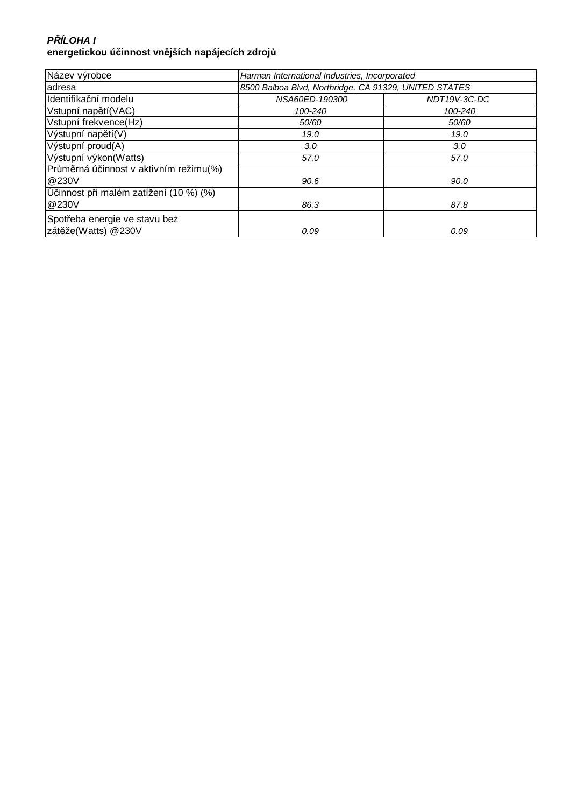## **P***Ř***ÍLOHA I energetickou účinnost vnějších napájecích zdrojů**

| Název výrobce                          | Harman International Industries, Incorporated         |              |
|----------------------------------------|-------------------------------------------------------|--------------|
| adresa                                 | 8500 Balboa Blvd, Northridge, CA 91329, UNITED STATES |              |
| Identifikační modelu                   | NSA60ED-190300                                        | NDT19V-3C-DC |
| Vstupní napětí (VAC)                   | 100-240                                               | 100-240      |
| Vstupní frekvence(Hz)                  | 50/60                                                 | 50/60        |
| Výstupní napětí(V)                     | 19.0                                                  | 19.0         |
| Výstupní proud(A)                      | 3.0                                                   | 3.0          |
| Výstupní výkon(Watts)                  | 57.0                                                  | 57.0         |
| Průměrná účinnost v aktivním režimu(%) |                                                       |              |
| @230V                                  | 90.6                                                  | 90.0         |
| Účinnost při malém zatížení (10 %) (%) |                                                       |              |
| @230V                                  | 86.3                                                  | 87.8         |
| Spotřeba energie ve stavu bez          |                                                       |              |
| zátěže(Watts) @230V                    | 0.09                                                  | 0.09         |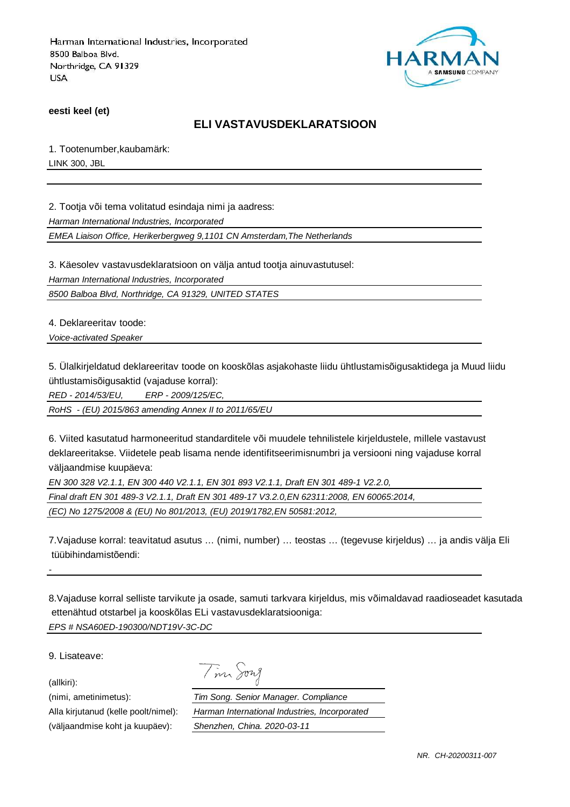

**eesti keel (et)**

## **ELI VASTAVUSDEKLARATSIOON**

1. Tootenumber,kaubamärk: LINK 300, JBL

2. Tootja või tema volitatud esindaja nimi ja aadress:

Harman International Industries, Incorporated

EMEA Liaison Office, Herikerbergweg 9,1101 CN Amsterdam,The Netherlands

3. Käesolev vastavusdeklaratsioon on välja antud tootja ainuvastutusel:

Harman International Industries, Incorporated

8500 Balboa Blvd, Northridge, CA 91329, UNITED STATES

4. Deklareeritav toode:

Voice-activated Speaker

5. Ülalkirjeldatud deklareeritav toode on kooskõlas asjakohaste liidu ühtlustamisõigusaktidega ja Muud liidu ühtlustamisõigusaktid (vajaduse korral):

RED - 2014/53/EU, ERP - 2009/125/EC,

RoHS - (EU) 2015/863 amending Annex II to 2011/65/EU

6. Viited kasutatud harmoneeritud standarditele või muudele tehnilistele kirjeldustele, millele vastavust deklareeritakse. Viidetele peab lisama nende identifitseerimisnumbri ja versiooni ning vajaduse korral väljaandmise kuupäeva:

EN 300 328 V2.1.1, EN 300 440 V2.1.1, EN 301 893 V2.1.1, Draft EN 301 489-1 V2.2.0,

Final draft EN 301 489-3 V2.1.1, Draft EN 301 489-17 V3.2.0,EN 62311:2008, EN 60065:2014,

Tim Song

(EC) No 1275/2008 & (EU) No 801/2013, (EU) 2019/1782,EN 50581:2012,

7.Vajaduse korral: teavitatud asutus … (nimi, number) … teostas … (tegevuse kirjeldus) … ja andis välja Eli tüübihindamistõendi:

8.Vajaduse korral selliste tarvikute ja osade, samuti tarkvara kirjeldus, mis võimaldavad raadioseadet kasutada ettenähtud otstarbel ja kooskõlas ELi vastavusdeklaratsiooniga: EPS # NSA60ED-190300/NDT19V-3C-DC

9. Lisateave:

(allkiri):

-

(nimi, ametinimetus): Tim Song. Senior Manager. Compliance Alla kirjutanud (kelle poolt/nimel): Harman International Industries, Incorporated (väljaandmise koht ja kuupäev): Shenzhen, China. 2020-03-11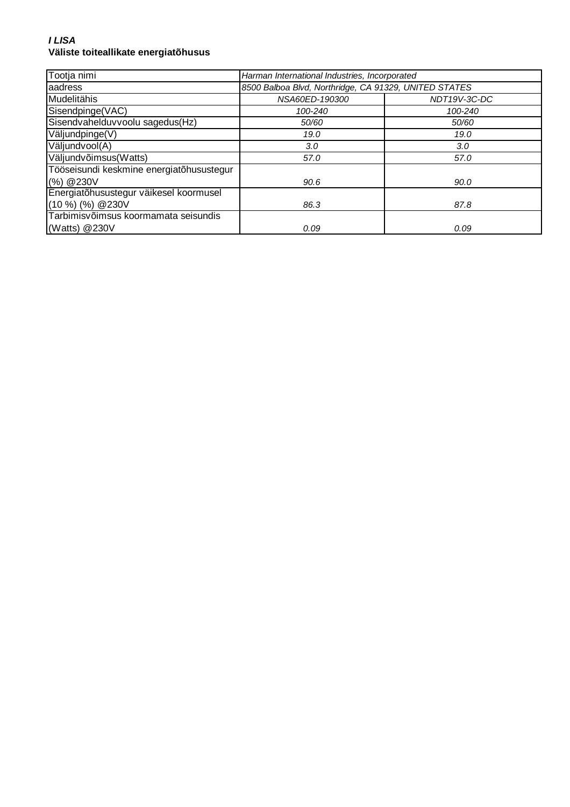#### **I LISA Väliste toiteallikate energiatõhusus**

| Tootja nimi                              | Harman International Industries, Incorporated         |              |
|------------------------------------------|-------------------------------------------------------|--------------|
| aadress                                  | 8500 Balboa Blvd, Northridge, CA 91329, UNITED STATES |              |
| Mudelitähis                              | NSA60ED-190300                                        | NDT19V-3C-DC |
| Sisendpinge(VAC)                         | 100-240                                               | 100-240      |
| Sisendvahelduvvoolu sagedus(Hz)          | 50/60                                                 | 50/60        |
| Väljundpinge(V)                          | 19.0                                                  | 19.0         |
| Väljundvool(A)                           | 3.0                                                   | 3.0          |
| Väljundvõimsus(Watts)                    | 57.0                                                  | 57.0         |
| Tööseisundi keskmine energiatõhusustegur |                                                       |              |
| (%) @ 230V                               | 90.6                                                  | 90.0         |
| Energiatõhusustegur väikesel koormusel   |                                                       |              |
| $(10\%)$ (%) @ 230V                      | 86.3                                                  | 87.8         |
| Tarbimisvõimsus koormamata seisundis     |                                                       |              |
| (Watts) $@230V$                          | 0.09                                                  | 0.09         |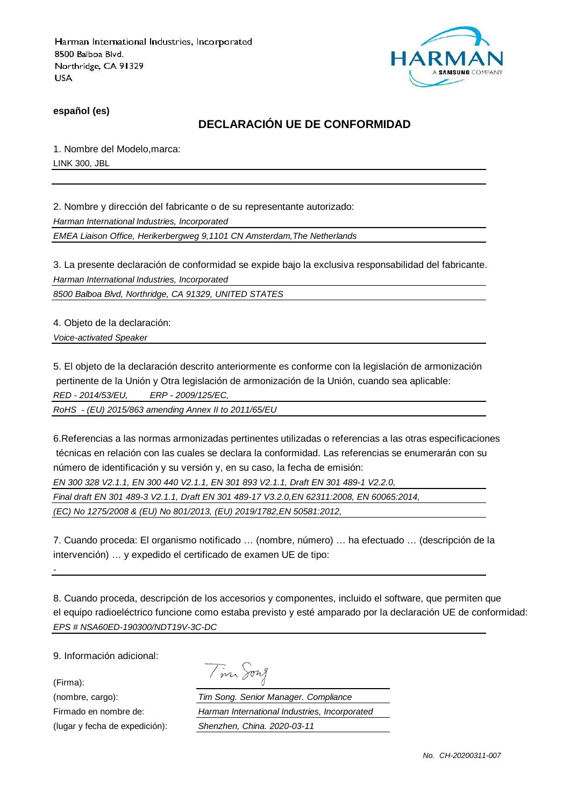

**español (es)**

# **DECLARACIÓN UE DE CONFORMIDAD**

1. Nombre del Modelo,marca: LINK 300, JBL

2. Nombre y dirección del fabricante o de su representante autorizado:

Harman International Industries, Incorporated

EMEA Liaison Office, Herikerbergweg 9,1101 CN Amsterdam,The Netherlands

3. La presente declaración de conformidad se expide bajo la exclusiva responsabilidad del fabricante. Harman International Industries, Incorporated

8500 Balboa Blvd, Northridge, CA 91329, UNITED STATES

4. Objeto de la declaración:

Voice-activated Speaker

5. El objeto de la declaración descrito anteriormente es conforme con la legislación de armonización pertinente de la Unión y Otra legislación de armonización de la Unión, cuando sea aplicable: RED - 2014/53/EU, ERP - 2009/125/EC,

RoHS - (EU) 2015/863 amending Annex II to 2011/65/EU

6.Referencias a las normas armonizadas pertinentes utilizadas o referencias a las otras especificaciones técnicas en relación con las cuales se declara la conformidad. Las referencias se enumerarán con su número de identificación y su versión y, en su caso, la fecha de emisión:

EN 300 328 V2.1.1, EN 300 440 V2.1.1, EN 301 893 V2.1.1, Draft EN 301 489-1 V2.2.0,

Final draft EN 301 489-3 V2.1.1, Draft EN 301 489-17 V3.2.0,EN 62311:2008, EN 60065:2014,

(EC) No 1275/2008 & (EU) No 801/2013, (EU) 2019/1782,EN 50581:2012,

7. Cuando proceda: El organismo notificado … (nombre, número) … ha efectuado … (descripción de la intervención) … y expedido el certificado de examen UE de tipo:

8. Cuando proceda, descripción de los accesorios y componentes, incluido el software, que permiten que el equipo radioeléctrico funcione como estaba previsto y esté amparado por la declaración UE de conformidad: EPS # NSA60ED-190300/NDT19V-3C-DC

9. Información adicional:

(Firma):

-

| $\mathcal{L}$ | vn<br>╱ |
|---------------|---------|
|               |         |

(nombre, cargo): Tim Song. Senior Manager. Compliance Firmado en nombre de: Harman International Industries, Incorporated (lugar y fecha de expedición): Shenzhen, China. 2020-03-11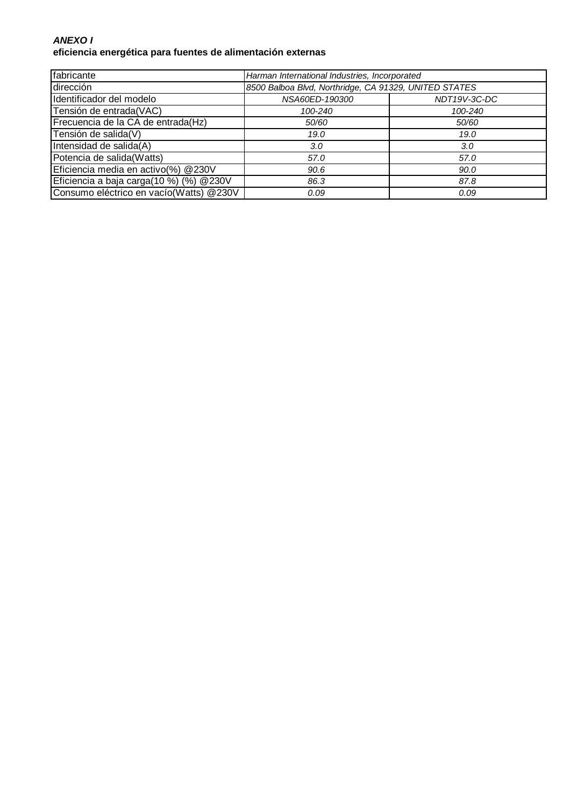### **ANEXO I eficiencia energética para fuentes de alimentación externas**

| fabricante                              | Harman International Industries, Incorporated         |              |
|-----------------------------------------|-------------------------------------------------------|--------------|
| dirección                               | 8500 Balboa Blvd, Northridge, CA 91329, UNITED STATES |              |
| Identificador del modelo                | NSA60ED-190300                                        | NDT19V-3C-DC |
| Tensión de entrada(VAC)                 | 100-240                                               | 100-240      |
| Frecuencia de la CA de entrada(Hz)      | 50/60                                                 | 50/60        |
| Tensión de salida(V)                    | 19.0                                                  | 19.0         |
| Intensidad de salida(A)                 | 3.0                                                   | 3.0          |
| Potencia de salida(Watts)               | 57.0                                                  | 57.0         |
| Eficiencia media en activo(%) @230V     | 90.6                                                  | 90.0         |
| Eficiencia a baja carga(10 %) (%) @230V | 86.3                                                  | 87.8         |
| Consumo eléctrico en vacío(Watts) @230V | 0.09                                                  | 0.09         |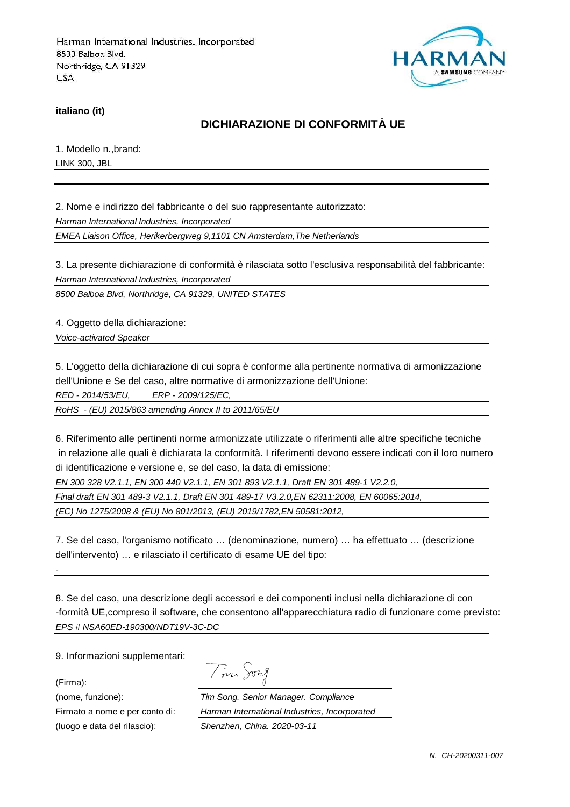

**italiano (it)**

# **DICHIARAZIONE DI CONFORMITÀ UE**

1. Modello n.,brand: LINK 300, JBL

2. Nome e indirizzo del fabbricante o del suo rappresentante autorizzato:

Harman International Industries, Incorporated

EMEA Liaison Office, Herikerbergweg 9,1101 CN Amsterdam,The Netherlands

3. La presente dichiarazione di conformità è rilasciata sotto l'esclusiva responsabilità del fabbricante: Harman International Industries, Incorporated

8500 Balboa Blvd, Northridge, CA 91329, UNITED STATES

4. Oggetto della dichiarazione:

Voice-activated Speaker

5. L'oggetto della dichiarazione di cui sopra è conforme alla pertinente normativa di armonizzazione dell'Unione e Se del caso, altre normative di armonizzazione dell'Unione:

RED - 2014/53/EU, ERP - 2009/125/EC,

RoHS - (EU) 2015/863 amending Annex II to 2011/65/EU

6. Riferimento alle pertinenti norme armonizzate utilizzate o riferimenti alle altre specifiche tecniche in relazione alle quali è dichiarata la conformità. I riferimenti devono essere indicati con il loro numero di identificazione e versione e, se del caso, la data di emissione:

EN 300 328 V2.1.1, EN 300 440 V2.1.1, EN 301 893 V2.1.1, Draft EN 301 489-1 V2.2.0,

Final draft EN 301 489-3 V2.1.1, Draft EN 301 489-17 V3.2.0,EN 62311:2008, EN 60065:2014,

(EC) No 1275/2008 & (EU) No 801/2013, (EU) 2019/1782,EN 50581:2012,

7. Se del caso, l'organismo notificato … (denominazione, numero) … ha effettuato … (descrizione dell'intervento) … e rilasciato il certificato di esame UE del tipo:

8. Se del caso, una descrizione degli accessori e dei componenti inclusi nella dichiarazione di con -formità UE,compreso il software, che consentono all'apparecchiatura radio di funzionare come previsto: EPS # NSA60ED-190300/NDT19V-3C-DC

9. Informazioni supplementari:

(Firma):

-

Tim Song

(nome, funzione): Tim Song. Senior Manager. Compliance Firmato a nome e per conto di: Harman International Industries, Incorporated (luogo e data del rilascio): Shenzhen, China. 2020-03-11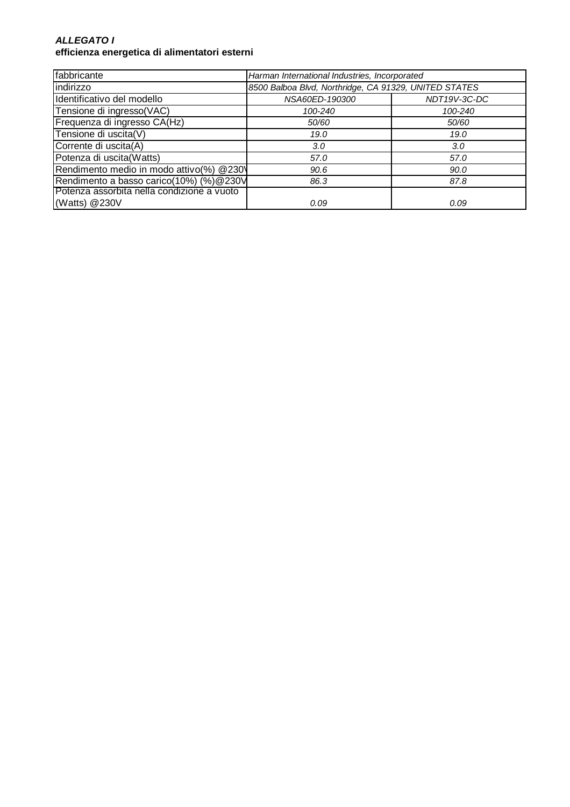#### **ALLEGATO I efficienza energetica di alimentatori esterni**

| fabbricante                                | Harman International Industries, Incorporated         |              |
|--------------------------------------------|-------------------------------------------------------|--------------|
| indirizzo                                  | 8500 Balboa Blvd, Northridge, CA 91329, UNITED STATES |              |
| Identificativo del modello                 | NSA60ED-190300                                        | NDT19V-3C-DC |
| Tensione di ingresso(VAC)                  | 100-240                                               | 100-240      |
| Frequenza di ingresso CA(Hz)               | 50/60                                                 | 50/60        |
| Tensione di uscita(V)                      | 19.0                                                  | 19.0         |
| Corrente di uscita(A)                      | 3.0 <sub>2</sub>                                      | 3.0          |
| Potenza di uscita(Watts)                   | 57.0                                                  | 57.0         |
| Rendimento medio in modo attivo(%) @230\   | 90.6                                                  | 90.0         |
| Rendimento a basso carico(10%) (%)@230V    | 86.3                                                  | 87.8         |
| Potenza assorbita nella condizione a vuoto |                                                       |              |
| (Watts) @230V                              | 0.09                                                  | 0.09         |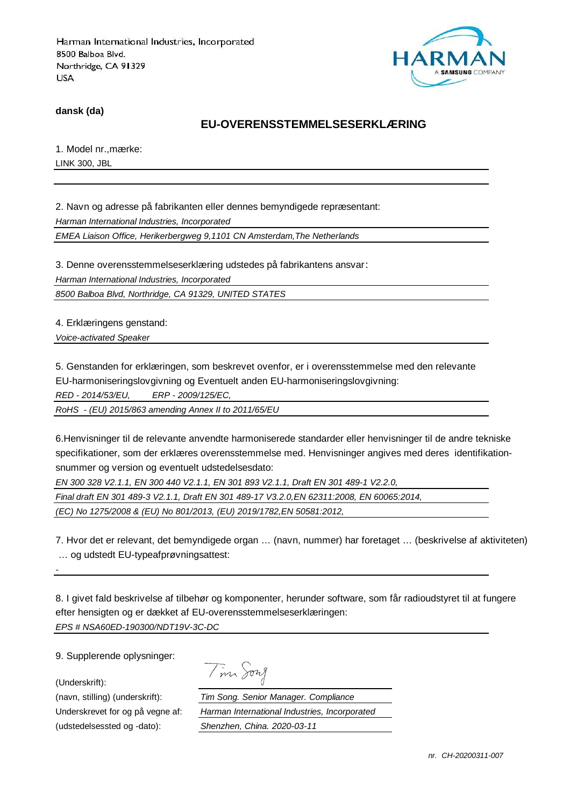

**dansk (da)**

### **EU-OVERENSSTEMMELSESERKLÆRING**

1. Model nr.,mærke: LINK 300, JBL

2. Navn og adresse på fabrikanten eller dennes bemyndigede repræsentant: Harman International Industries, Incorporated EMEA Liaison Office, Herikerbergweg 9,1101 CN Amsterdam,The Netherlands

3. Denne overensstemmelseserklæring udstedes på fabrikantens ansvar: Harman International Industries, Incorporated

8500 Balboa Blvd, Northridge, CA 91329, UNITED STATES

4. Erklæringens genstand:

Voice-activated Speaker

5. Genstanden for erklæringen, som beskrevet ovenfor, er i overensstemmelse med den relevante

EU-harmoniseringslovgivning og Eventuelt anden EU-harmoniseringslovgivning:

RED - 2014/53/EU, ERP - 2009/125/EC,

RoHS - (EU) 2015/863 amending Annex II to 2011/65/EU

6.Henvisninger til de relevante anvendte harmoniserede standarder eller henvisninger til de andre tekniske specifikationer, som der erklæres overensstemmelse med. Henvisninger angives med deres identifikationsnummer og version og eventuelt udstedelsesdato:

EN 300 328 V2.1.1, EN 300 440 V2.1.1, EN 301 893 V2.1.1, Draft EN 301 489-1 V2.2.0,

Final draft EN 301 489-3 V2.1.1, Draft EN 301 489-17 V3.2.0,EN 62311:2008, EN 60065:2014,

(EC) No 1275/2008 & (EU) No 801/2013, (EU) 2019/1782,EN 50581:2012,

7. Hvor det er relevant, det bemyndigede organ … (navn, nummer) har foretaget … (beskrivelse af aktiviteten) … og udstedt EU-typeafprøvningsattest:

8. I givet fald beskrivelse af tilbehør og komponenter, herunder software, som får radioudstyret til at fungere efter hensigten og er dækket af EU-overensstemmelseserklæringen: EPS # NSA60ED-190300/NDT19V-3C-DC

9. Supplerende oplysninger:

(Underskrift):

-

(udstedelsessted og -dato): Shenzhen, China. 2020-03-11

Tim Song

(navn, stilling) (underskrift): Tim Song. Senior Manager. Compliance Underskrevet for og på vegne af: Harman International Industries, Incorporated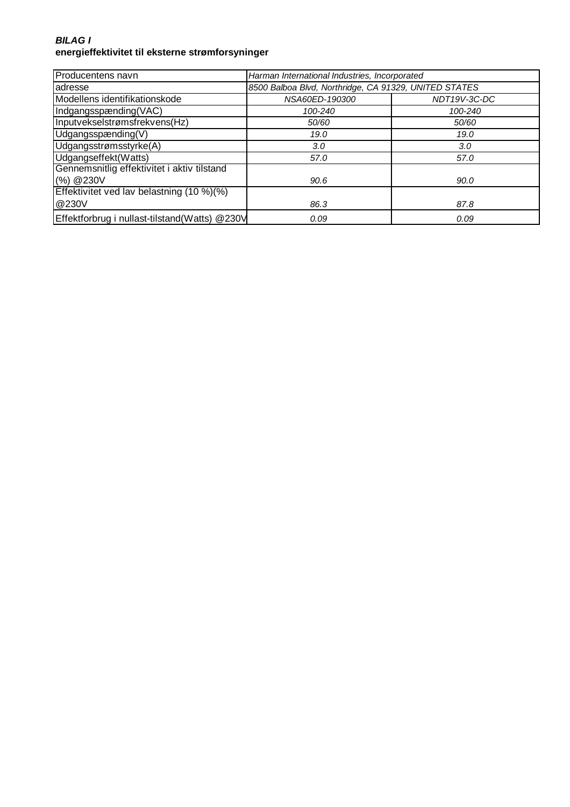### **BILAG I energieffektivitet til eksterne strømforsyninger**

| Producentens navn                             | Harman International Industries, Incorporated         |              |
|-----------------------------------------------|-------------------------------------------------------|--------------|
| adresse                                       | 8500 Balboa Blvd, Northridge, CA 91329, UNITED STATES |              |
| Modellens identifikationskode                 | NSA60ED-190300                                        | NDT19V-3C-DC |
| Indgangsspænding(VAC)                         | 100-240                                               | 100-240      |
| Inputvekselstrømsfrekvens(Hz)                 | 50/60                                                 | 50/60        |
| Udgangsspænding(V)                            | 19.0                                                  | 19.0         |
| Udgangsstrømsstyrke(A)                        | 3.0                                                   | 3.0          |
| Udgangseffekt(Watts)                          | 57.0                                                  | 57.0         |
| Gennemsnitlig effektivitet i aktiv tilstand   |                                                       |              |
| (%) @230V                                     | 90.6                                                  | 90.0         |
| Effektivitet ved lav belastning (10 %)(%)     |                                                       |              |
| @230V                                         | 86.3                                                  | 87.8         |
| Effektforbrug i nullast-tilstand(Watts) @230V | 0.09                                                  | 0.09         |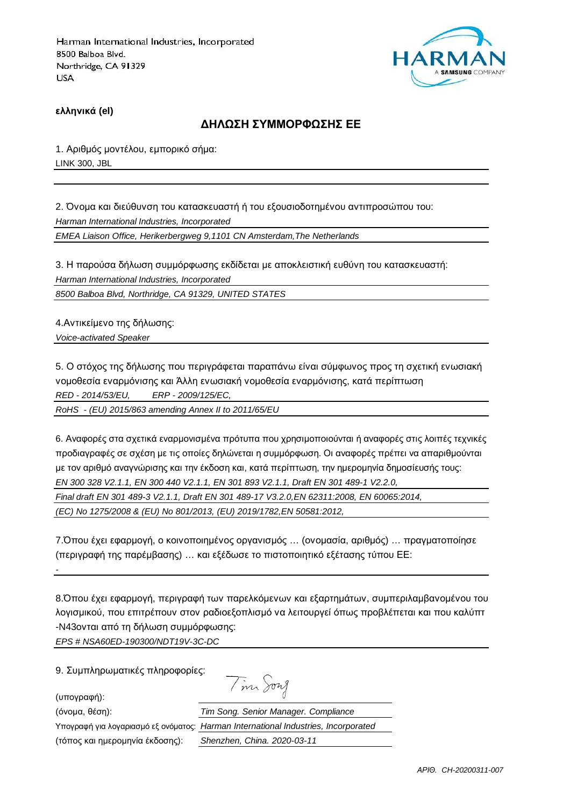

**ελληνικά (el)**

#### **ΔΗΛΩΣΗ ΣΥΜΜΟΡΦΩΣΗΣ ΕΕ**

1. Αριθμός μοντέλου, εμπορικό σήμα: LINK 300, JBL

2. Όνομα και διεύθυνση του κατασκευαστή ή του εξουσιοδοτημένου αντιπροσώπου του: Harman International Industries, Incorporated EMEA Liaison Office, Herikerbergweg 9,1101 CN Amsterdam,The Netherlands

3. Η παρούσα δήλωση συμμόρφωσης εκδίδεται με αποκλειστική ευθύνη του κατασκευαστή: Harman International Industries, Incorporated 8500 Balboa Blvd, Northridge, CA 91329, UNITED STATES

4.Αντικείμενο της δήλωσης:

Voice-activated Speaker

5. Ο στόχος της δήλωσης που περιγράφεται παραπάνω είναι σύμφωνος προς τη σχετική ενωσιακή νομοθεσία εναρμόνισης και Άλλη ενωσιακή νομοθεσία εναρμόνισης, κατά περίπτωση RED - 2014/53/EU, ERP - 2009/125/EC,

RoHS - (EU) 2015/863 amending Annex II to 2011/65/EU

6. Αναφορές στα σχετικά εναρμονισμένα πρότυπα που χρησιμοποιούνται ή αναφορές στις λοιπές τεχνικές προδιαγραφές σε σχέση με τις οποίες δηλώνεται η συμμόρφωση. Οι αναφορές πρέπει να απαριθμούνται με τον αριθμό αναγνώρισης και την έκδοση και, κατά περίπτωση, την ημερομηνία δημοσίευσής τους: EN 300 328 V2.1.1, EN 300 440 V2.1.1, EN 301 893 V2.1.1, Draft EN 301 489-1 V2.2.0, Final draft EN 301 489-3 V2.1.1, Draft EN 301 489-17 V3.2.0,EN 62311:2008, EN 60065:2014, (EC) No 1275/2008 & (EU) No 801/2013, (EU) 2019/1782,EN 50581:2012,

7.Όπου έχει εφαρμογή, ο κοινοποιημένος οργανισμός … (ονομασία, αριθμός) … πραγματοποίησε (περιγραφή της παρέμβασης) … και εξέδωσε το πιστοποιητικό εξέτασης τύπου ΕΕ:

8.Όπου έχει εφαρμογή, περιγραφή των παρελκόμενων και εξαρτημάτων, συμπεριλαμβανομένου του λογισμικού, που επιτρέπουν στον ραδιοεξοπλισμό να λειτουργεί όπως προβλέπεται και που καλύπτ -N43ονται από τη δήλωση συμμόρφωσης:

Tim Song

EPS # NSA60ED-190300/NDT19V-3C-DC

9. Συμπληρωματικές πληροφορίες:

(υπογραφή):

-

(τόπος και ημερομηνία έκδοσης): Shenzhen, China. 2020-03-11

(όνομα, θέση): Tim Song. Senior Manager. Compliance Υπογραφή για λογαριασμό εξ ονόματος: Harman International Industries, Incorporated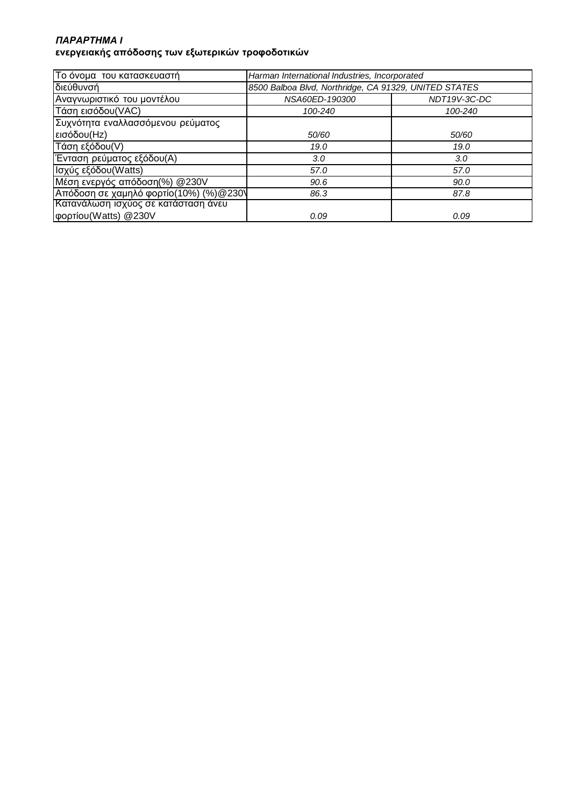## *ΠΑΡΑΡΤΗΜΑ* **I ενεργειακής απόδοσης των εξωτερικών τροφοδοτικών**

| Το όνομα του κατασκευαστή              | Harman International Industries, Incorporated         |              |
|----------------------------------------|-------------------------------------------------------|--------------|
| διεύθυνσή                              | 8500 Balboa Blvd, Northridge, CA 91329, UNITED STATES |              |
| Αναγνωριστικό του μοντέλου             | NSA60ED-190300                                        | NDT19V-3C-DC |
| Τάση εισόδου (VAC)                     | 100-240                                               | 100-240      |
| Συχνότητα εναλλασσόμενου ρεύματος      |                                                       |              |
| εισόδου(Hz)                            | 50/60                                                 | 50/60        |
| Τάση εξόδου(V)                         | 19.0                                                  | 19.0         |
| Ένταση ρεύματος εξόδου(Α)              | 3.0                                                   | 3.0          |
| Ισχύς εξόδου(Watts)                    | 57.0                                                  | 57.0         |
| Μέση ενεργός απόδοση(%) @230V          | 90.6                                                  | 90.0         |
| Απόδοση σε χαμηλό φορτίο(10%) (%)@230\ | 86.3                                                  | 87.8         |
| Κατανάλωση ισχύος σε κατάσταση άνευ    |                                                       |              |
| φορτίου (Watts) @230V                  | 0.09                                                  | 0.09         |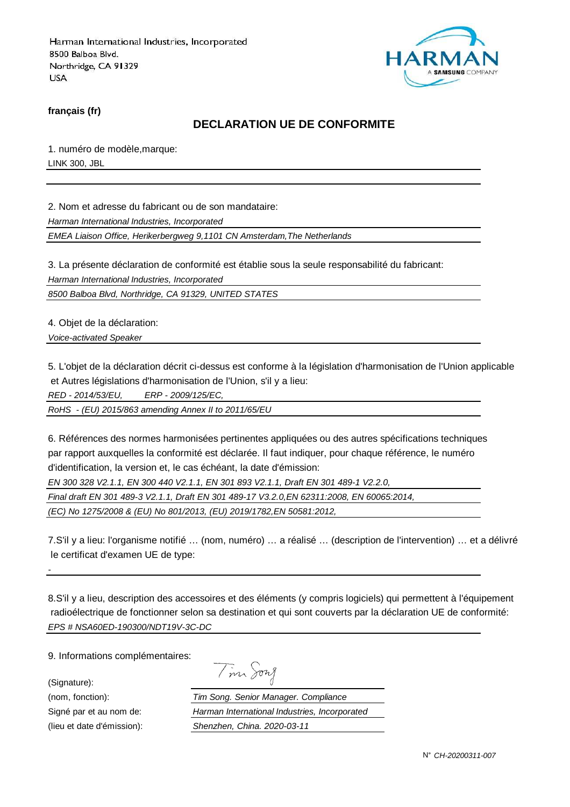

**français (fr)**

## **DECLARATION UE DE CONFORMITE**

1. numéro de modèle,marque: LINK 300, JBL

2. Nom et adresse du fabricant ou de son mandataire:

Harman International Industries, Incorporated

EMEA Liaison Office, Herikerbergweg 9,1101 CN Amsterdam,The Netherlands

3. La présente déclaration de conformité est établie sous la seule responsabilité du fabricant:

Harman International Industries, Incorporated

8500 Balboa Blvd, Northridge, CA 91329, UNITED STATES

4. Objet de la déclaration:

Voice-activated Speaker

5. L'objet de la déclaration décrit ci-dessus est conforme à la législation d'harmonisation de l'Union applicable et Autres législations d'harmonisation de l'Union, s'il y a lieu:

RED - 2014/53/EU, ERP - 2009/125/EC,

RoHS - (EU) 2015/863 amending Annex II to 2011/65/EU

6. Références des normes harmonisées pertinentes appliquées ou des autres spécifications techniques par rapport auxquelles la conformité est déclarée. Il faut indiquer, pour chaque référence, le numéro d'identification, la version et, le cas échéant, la date d'émission:

EN 300 328 V2.1.1, EN 300 440 V2.1.1, EN 301 893 V2.1.1, Draft EN 301 489-1 V2.2.0,

Final draft EN 301 489-3 V2.1.1, Draft EN 301 489-17 V3.2.0,EN 62311:2008, EN 60065:2014,

(EC) No 1275/2008 & (EU) No 801/2013, (EU) 2019/1782,EN 50581:2012,

7.S'il y a lieu: l'organisme notifié … (nom, numéro) … a réalisé … (description de l'intervention) … et a délivré le certificat d'examen UE de type:

8.S'il y a lieu, description des accessoires et des éléments (y compris logiciels) qui permettent à l'équipement radioélectrique de fonctionner selon sa destination et qui sont couverts par la déclaration UE de conformité: EPS # NSA60ED-190300/NDT19V-3C-DC

9. Informations complémentaires:

(Signature):

-

| m | sont |
|---|------|
|   |      |

(nom, fonction): Tim Song. Senior Manager. Compliance Signé par et au nom de: Harman International Industries, Incorporated (lieu et date d'émission): Shenzhen, China. 2020-03-11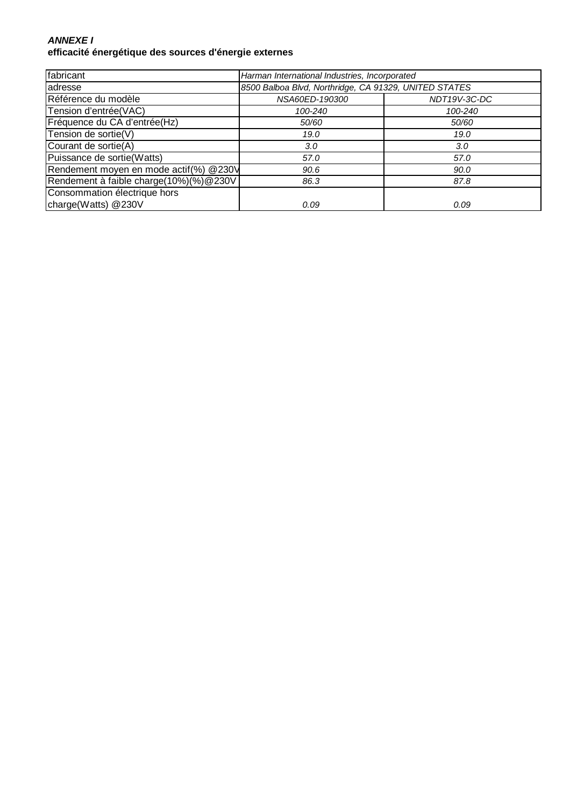## **ANNEXE I efficacité énergétique des sources d'énergie externes**

| fabricant                              | Harman International Industries, Incorporated         |              |
|----------------------------------------|-------------------------------------------------------|--------------|
| adresse                                | 8500 Balboa Blvd, Northridge, CA 91329, UNITED STATES |              |
| Référence du modèle                    | NSA60ED-190300                                        | NDT19V-3C-DC |
| Tension d'entrée(VAC)                  | 100-240                                               | 100-240      |
| Fréquence du CA d'entrée(Hz)           | 50/60                                                 | 50/60        |
| Tension de sortie(V)                   | 19.0                                                  | 19.0         |
| Courant de sortie(A)                   | 3.0 <sub>2</sub>                                      | 3.0          |
| Puissance de sortie(Watts)             | 57.0                                                  | 57.0         |
| Rendement moyen en mode actif(%) @230V | 90.6                                                  | 90.0         |
| Rendement à faible charge(10%)(%)@230V | 86.3                                                  | 87.8         |
| Consommation électrique hors           |                                                       |              |
| charge(Watts) @230V                    | 0.09                                                  | 0.09         |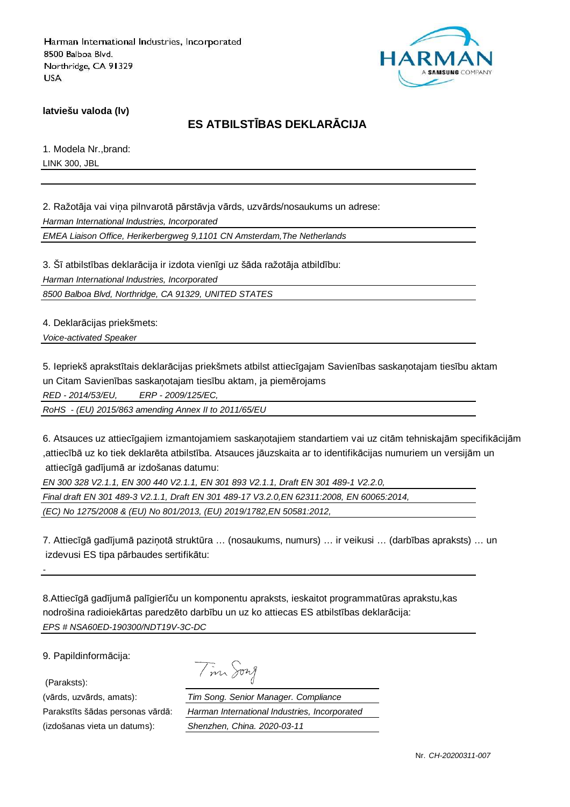

**latviešu valoda (lv)**

# **ES ATBILSTĪBAS DEKLARĀCIJA**

1. Modela Nr.,brand: LINK 300, JBL

2. Ražotāja vai viņa pilnvarotā pārstāvja vārds, uzvārds/nosaukums un adrese: Harman International Industries, Incorporated

EMEA Liaison Office, Herikerbergweg 9,1101 CN Amsterdam,The Netherlands

3. Šī atbilstības deklarācija ir izdota vienīgi uz šāda ražotāja atbildību: Harman International Industries, Incorporated 8500 Balboa Blvd, Northridge, CA 91329, UNITED STATES

4. Deklarācijas priekšmets:

Voice-activated Speaker

5. Iepriekš aprakstītais deklarācijas priekšmets atbilst attiecīgajam Savienības saskaņotajam tiesību aktam un Citam Savienības saskaņotajam tiesību aktam, ja piemērojams

RED - 2014/53/EU, ERP - 2009/125/EC,

RoHS - (EU) 2015/863 amending Annex II to 2011/65/EU

6. Atsauces uz attiecīgajiem izmantojamiem saskaņotajiem standartiem vai uz citām tehniskajām specifikācijām ,attiecībā uz ko tiek deklarēta atbilstība. Atsauces jāuzskaita ar to identifikācijas numuriem un versijām un attiecīgā gadījumā ar izdošanas datumu:

EN 300 328 V2.1.1, EN 300 440 V2.1.1, EN 301 893 V2.1.1, Draft EN 301 489-1 V2.2.0,

Final draft EN 301 489-3 V2.1.1, Draft EN 301 489-17 V3.2.0,EN 62311:2008, EN 60065:2014,

(EC) No 1275/2008 & (EU) No 801/2013, (EU) 2019/1782,EN 50581:2012,

7. Attiecīgā gadījumā paziņotā struktūra … (nosaukums, numurs) … ir veikusi … (darbības apraksts) … un izdevusi ES tipa pārbaudes sertifikātu:

8.Attiecīgā gadījumā palīgierīču un komponentu apraksts, ieskaitot programmatūras aprakstu,kas nodrošina radioiekārtas paredzēto darbību un uz ko attiecas ES atbilstības deklarācija: EPS # NSA60ED-190300/NDT19V-3C-DC

9. Papildinformācija:

(Paraksts):

-

(izdošanas vieta un datums): Shenzhen, China. 2020-03-11

|  | $1277$ $\lambda$ |
|--|------------------|
|--|------------------|

(vārds, uzvārds, amats): Tim Song. Senior Manager. Compliance Parakstīts šādas personas vārdā: Harman International Industries, Incorporated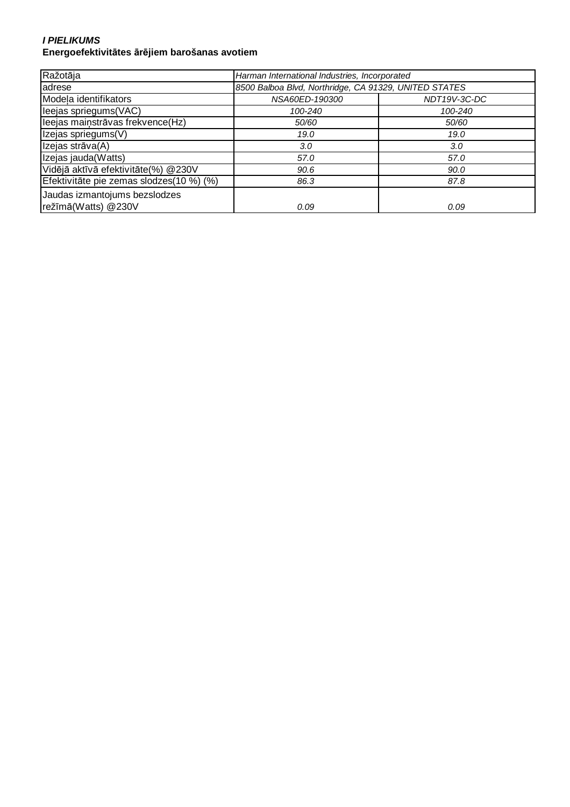#### **I PIELIKUMS Energoefektivitātes ārējiem barošanas avotiem**

| Ražotāja                                             | Harman International Industries, Incorporated         |              |
|------------------------------------------------------|-------------------------------------------------------|--------------|
| adrese                                               | 8500 Balboa Blvd, Northridge, CA 91329, UNITED STATES |              |
| Modela identifikators                                | NSA60ED-190300                                        | NDT19V-3C-DC |
| leejas spriegums(VAC)                                | 100-240                                               | 100-240      |
| leejas maiņstrāvas frekvence(Hz)                     | 50/60                                                 | 50/60        |
| Izejas spriegums(V)                                  | 19.0                                                  | 19.0         |
| Izejas strāva(A)                                     | 3.0                                                   | 3.0          |
| Izejas jauda(Watts)                                  | 57.0                                                  | 57.0         |
| Vidējā aktīvā efektivitāte(%) @230V                  | 90.6                                                  | 90.0         |
| Efektivitāte pie zemas slodzes(10 %) (%)             | 86.3                                                  | 87.8         |
| Jaudas izmantojums bezslodzes<br>režīmā(Watts) @230V | 0.09                                                  | 0.09         |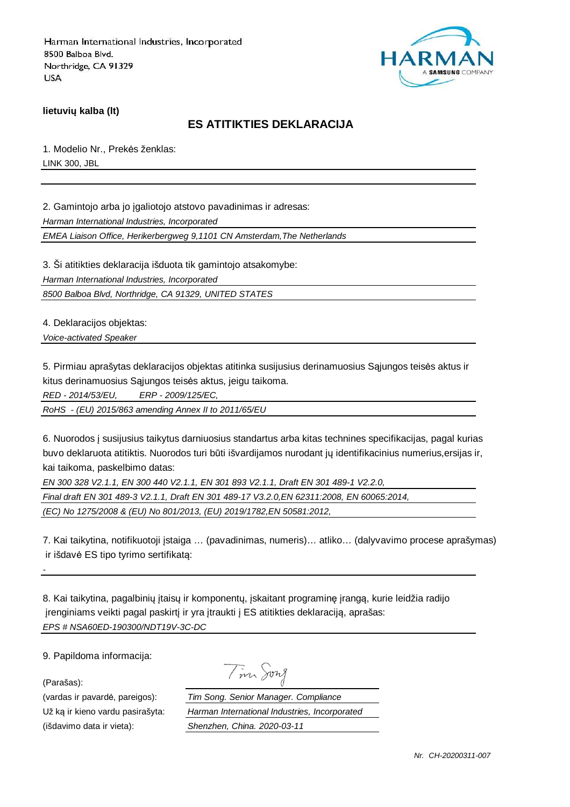

**lietuvių kalba (lt)**

## **ES ATITIKTIES DEKLARACIJA**

1. Modelio Nr., Prekės ženklas: LINK 300, JBL

2. Gamintojo arba jo įgaliotojo atstovo pavadinimas ir adresas:

Harman International Industries, Incorporated

EMEA Liaison Office, Herikerbergweg 9,1101 CN Amsterdam,The Netherlands

3. Ši atitikties deklaracija išduota tik gamintojo atsakomybe:

Harman International Industries, Incorporated

8500 Balboa Blvd, Northridge, CA 91329, UNITED STATES

4. Deklaracijos objektas:

Voice-activated Speaker

5. Pirmiau aprašytas deklaracijos objektas atitinka susijusius derinamuosius Sąjungos teisės aktus ir kitus derinamuosius Sąjungos teisės aktus, jeigu taikoma.

RED - 2014/53/EU, ERP - 2009/125/EC,

RoHS - (EU) 2015/863 amending Annex II to 2011/65/EU

6. Nuorodos į susijusius taikytus darniuosius standartus arba kitas technines specifikacijas, pagal kurias buvo deklaruota atitiktis. Nuorodos turi būti išvardijamos nurodant jų identifikacinius numerius,ersijas ir, kai taikoma, paskelbimo datas:

EN 300 328 V2.1.1, EN 300 440 V2.1.1, EN 301 893 V2.1.1, Draft EN 301 489-1 V2.2.0,

Final draft EN 301 489-3 V2.1.1, Draft EN 301 489-17 V3.2.0,EN 62311:2008, EN 60065:2014,

(EC) No 1275/2008 & (EU) No 801/2013, (EU) 2019/1782,EN 50581:2012,

7. Kai taikytina, notifikuotoji įstaiga … (pavadinimas, numeris)… atliko… (dalyvavimo procese aprašymas) ir išdavė ES tipo tyrimo sertifikatą:

8. Kai taikytina, pagalbinių įtaisų ir komponentų, įskaitant programinę įrangą, kurie leidžia radijo įrenginiams veikti pagal paskirtį ir yra įtraukti į ES atitikties deklaraciją, aprašas: EPS # NSA60ED-190300/NDT19V-3C-DC

9. Papildoma informacija:

(Parašas):

-

(išdavimo data ir vieta): Shenzhen, China. 2020-03-11

Tim Song

(vardas ir pavardė, pareigos): Tim Song. Senior Manager. Compliance Už ką ir kieno vardu pasirašyta: Harman International Industries, Incorporated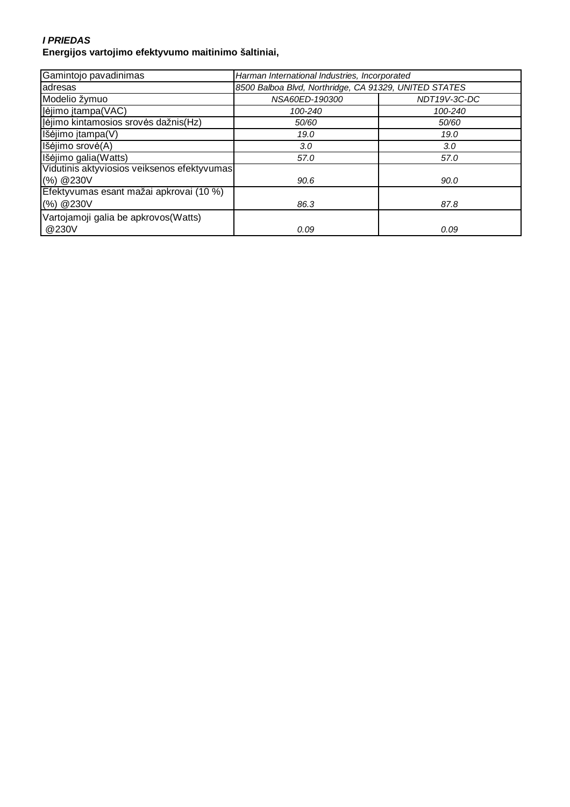#### **I PRIEDAS Energijos vartojimo efektyvumo maitinimo šaltiniai,**

| Gamintojo pavadinimas                       | Harman International Industries, Incorporated         |              |
|---------------------------------------------|-------------------------------------------------------|--------------|
| adresas                                     | 8500 Balboa Blvd, Northridge, CA 91329, UNITED STATES |              |
| Modelio žymuo                               | NSA60ED-190300                                        | NDT19V-3C-DC |
| Įėjimo įtampa(VAC)                          | 100-240                                               | 100-240      |
| Įėjimo kintamosios srovės dažnis(Hz)        | 50/60                                                 | 50/60        |
| Išėjimo įtampa(V)                           | 19.0                                                  | 19.0         |
| Išėjimo srovė(A)                            | 3.0                                                   | 3.0          |
| Išėjimo galia(Watts)                        | 57.0                                                  | 57.0         |
| Vidutinis aktyviosios veiksenos efektyvumas |                                                       |              |
| (%) @230V                                   | 90.6                                                  | 90.0         |
| Efektyvumas esant mažai apkrovai (10 %)     |                                                       |              |
| (%) @230V                                   | 86.3                                                  | 87.8         |
| Vartojamoji galia be apkrovos (Watts)       |                                                       |              |
| @230V                                       | 0.09                                                  | 0.09         |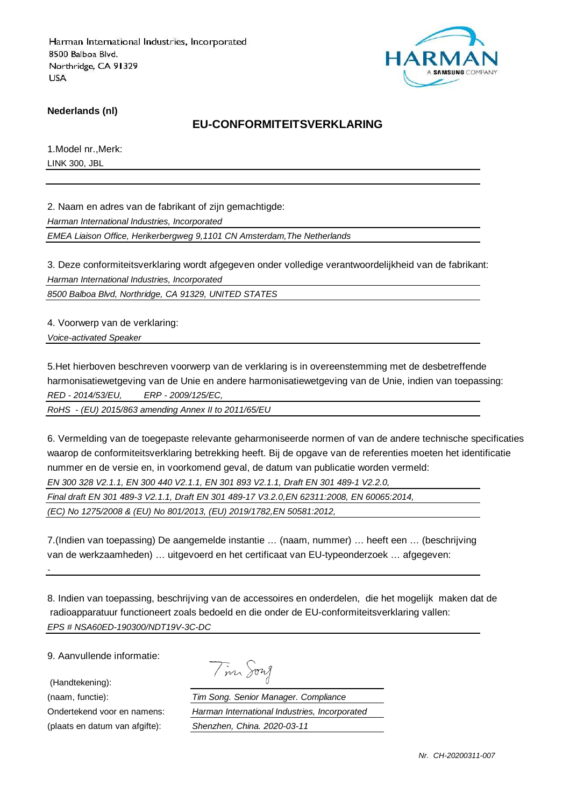

**Nederlands (nl)**

## **EU-CONFORMITEITSVERKLARING**

1.Model nr.,Merk: LINK 300, JBL

2. Naam en adres van de fabrikant of zijn gemachtigde:

Harman International Industries, Incorporated

EMEA Liaison Office, Herikerbergweg 9,1101 CN Amsterdam,The Netherlands

3. Deze conformiteitsverklaring wordt afgegeven onder volledige verantwoordelijkheid van de fabrikant: Harman International Industries, Incorporated

8500 Balboa Blvd, Northridge, CA 91329, UNITED STATES

4. Voorwerp van de verklaring:

Voice-activated Speaker

5.Het hierboven beschreven voorwerp van de verklaring is in overeenstemming met de desbetreffende harmonisatiewetgeving van de Unie en andere harmonisatiewetgeving van de Unie, indien van toepassing: RED - 2014/53/EU, ERP - 2009/125/EC,

RoHS - (EU) 2015/863 amending Annex II to 2011/65/EU

6. Vermelding van de toegepaste relevante geharmoniseerde normen of van de andere technische specificaties waarop de conformiteitsverklaring betrekking heeft. Bij de opgave van de referenties moeten het identificatie nummer en de versie en, in voorkomend geval, de datum van publicatie worden vermeld: EN 300 328 V2.1.1, EN 300 440 V2.1.1, EN 301 893 V2.1.1, Draft EN 301 489-1 V2.2.0,

Final draft EN 301 489-3 V2.1.1, Draft EN 301 489-17 V3.2.0,EN 62311:2008, EN 60065:2014,

(EC) No 1275/2008 & (EU) No 801/2013, (EU) 2019/1782,EN 50581:2012,

7.(Indien van toepassing) De aangemelde instantie … (naam, nummer) … heeft een … (beschrijving van de werkzaamheden) … uitgevoerd en het certificaat van EU-typeonderzoek … afgegeven:

8. Indien van toepassing, beschrijving van de accessoires en onderdelen, die het mogelijk maken dat de radioapparatuur functioneert zoals bedoeld en die onder de EU-conformiteitsverklaring vallen: EPS # NSA60ED-190300/NDT19V-3C-DC

9. Aanvullende informatie:

(Handtekening):

-

| vug<br>Λ |
|----------|
|          |

(naam, functie): Tim Song. Senior Manager. Compliance Ondertekend voor en namens: Harman International Industries, Incorporated (plaats en datum van afgifte): Shenzhen, China. 2020-03-11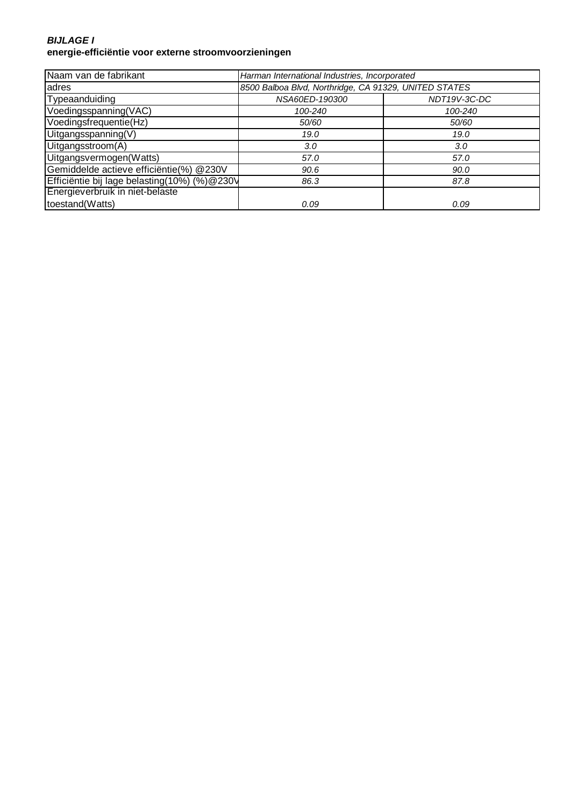#### **BIJLAGE I energie-efficiëntie voor externe stroomvoorzieningen**

| Naam van de fabrikant                        | Harman International Industries, Incorporated         |              |
|----------------------------------------------|-------------------------------------------------------|--------------|
| adres                                        | 8500 Balboa Blvd, Northridge, CA 91329, UNITED STATES |              |
| Typeaanduiding                               | NSA60ED-190300                                        | NDT19V-3C-DC |
| Voedingsspanning(VAC)                        | 100-240                                               | 100-240      |
| Voedingsfrequentie(Hz)                       | 50/60                                                 | 50/60        |
| Uitgangsspanning(V)                          | 19.0                                                  | 19.0         |
| Uitgangsstroom(A)                            | 3.0                                                   | 3.0          |
| Uitgangsvermogen(Watts)                      | 57.0                                                  | 57.0         |
| Gemiddelde actieve efficiëntie(%) @230V      | 90.6                                                  | 90.0         |
| Efficiëntie bij lage belasting(10%) (%)@230V | 86.3                                                  | 87.8         |
| Energieverbruik in niet-belaste              |                                                       |              |
| toestand(Watts)                              | 0.09                                                  | 0.09         |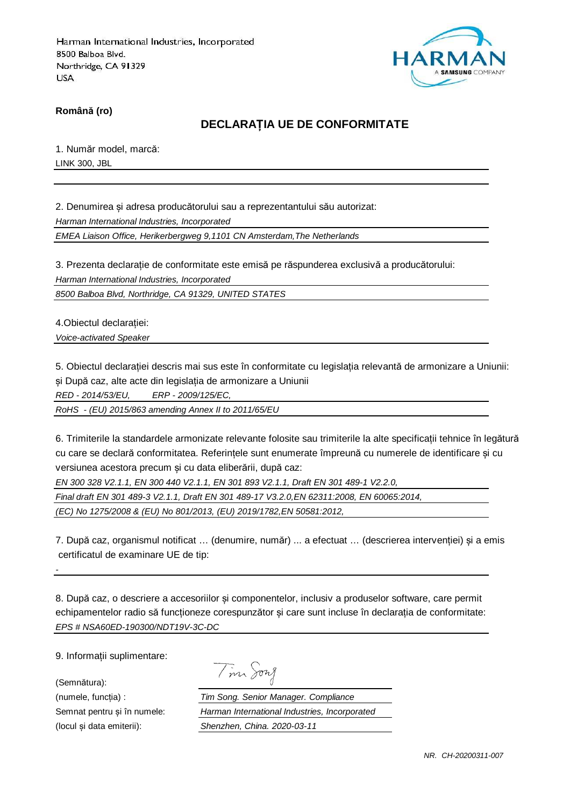

**Română (ro)**

# **DECLARAȚIA UE DE CONFORMITATE**

1. Număr model, marcă: LINK 300, JBL

2. Denumirea și adresa producătorului sau a reprezentantului său autorizat:

Harman International Industries, Incorporated

EMEA Liaison Office, Herikerbergweg 9,1101 CN Amsterdam,The Netherlands

3. Prezenta declarație de conformitate este emisă pe răspunderea exclusivă a producătorului: Harman International Industries, Incorporated

8500 Balboa Blvd, Northridge, CA 91329, UNITED STATES

4.Obiectul declarației:

Voice-activated Speaker

5. Obiectul declarației descris mai sus este în conformitate cu legislația relevantă de armonizare a Uniunii: și După caz, alte acte din legislația de armonizare a Uniunii

RED - 2014/53/EU, ERP - 2009/125/EC,

RoHS - (EU) 2015/863 amending Annex II to 2011/65/EU

6. Trimiterile la standardele armonizate relevante folosite sau trimiterile la alte specificații tehnice în legătură cu care se declară conformitatea. Referințele sunt enumerate împreună cu numerele de identificare și cu versiunea acestora precum și cu data eliberării, după caz:

EN 300 328 V2.1.1, EN 300 440 V2.1.1, EN 301 893 V2.1.1, Draft EN 301 489-1 V2.2.0,

Final draft EN 301 489-3 V2.1.1, Draft EN 301 489-17 V3.2.0,EN 62311:2008, EN 60065:2014,

(EC) No 1275/2008 & (EU) No 801/2013, (EU) 2019/1782,EN 50581:2012,

7. După caz, organismul notificat … (denumire, număr) ... a efectuat … (descrierea intervenției) și a emis certificatul de examinare UE de tip:

8. După caz, o descriere a accesoriilor și componentelor, inclusiv a produselor software, care permit echipamentelor radio să funcționeze corespunzător și care sunt incluse în declarația de conformitate: EPS # NSA60ED-190300/NDT19V-3C-DC

9. Informații suplimentare:

(Semnătura):

-

|  | าาน วั |
|--|--------|
|--|--------|

(numele, funcția) : Tim Song. Senior Manager. Compliance Semnat pentru și în numele: Harman International Industries, Incorporated (locul și data emiterii): Shenzhen, China. 2020-03-11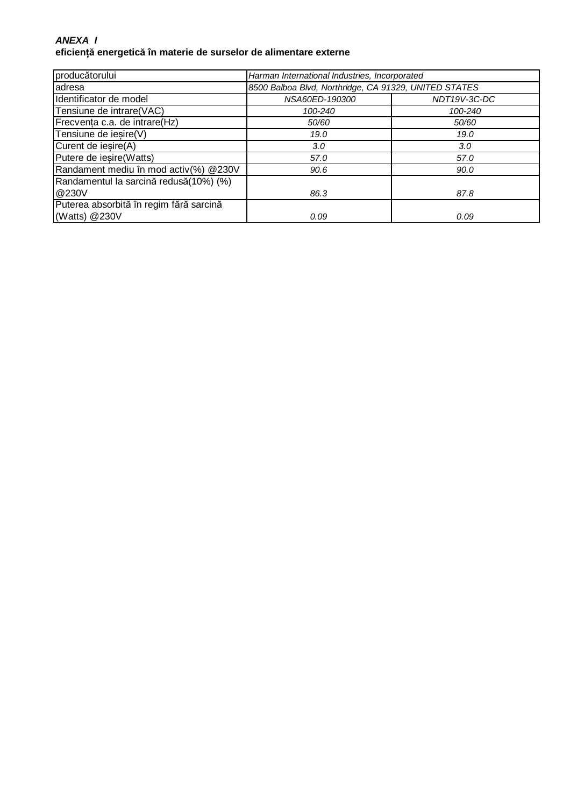### **ANEXA I eficiență energetică în materie de surselor de alimentare externe**

| producătorului                          | Harman International Industries, Incorporated         |              |
|-----------------------------------------|-------------------------------------------------------|--------------|
| adresa                                  | 8500 Balboa Blvd, Northridge, CA 91329, UNITED STATES |              |
| Identificator de model                  | NSA60ED-190300                                        | NDT19V-3C-DC |
| Tensiune de intrare(VAC)                | 100-240                                               | 100-240      |
| Frecventa c.a. de intrare(Hz)           | 50/60                                                 | 50/60        |
| Tensiune de iesire(V)                   | 19.0                                                  | 19.0         |
| Curent de iesire(A)                     | 3.0                                                   | 3.0          |
| Putere de iesire(Watts)                 | 57.0                                                  | 57.0         |
| Randament mediu în mod activ(%) @230V   | 90.6                                                  | 90.0         |
| Randamentul la sarcină redusă(10%) (%)  |                                                       |              |
| @230V                                   | 86.3                                                  | 87.8         |
| Puterea absorbită în regim fără sarcină |                                                       |              |
| (Watts) @230V                           | 0.09                                                  | 0.09         |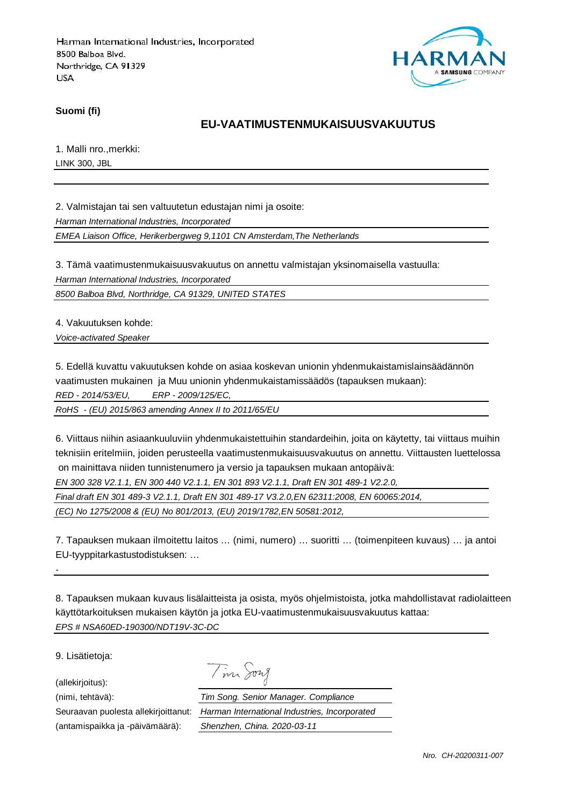

**Suomi (fi)**

## **EU-VAATIMUSTENMUKAISUUSVAKUUTUS**

1. Malli nro.,merkki: LINK 300, JBL

2. Valmistajan tai sen valtuutetun edustajan nimi ja osoite:

Harman International Industries, Incorporated

EMEA Liaison Office, Herikerbergweg 9,1101 CN Amsterdam,The Netherlands

3. Tämä vaatimustenmukaisuusvakuutus on annettu valmistajan yksinomaisella vastuulla: Harman International Industries, Incorporated

8500 Balboa Blvd, Northridge, CA 91329, UNITED STATES

4. Vakuutuksen kohde:

Voice-activated Speaker

5. Edellä kuvattu vakuutuksen kohde on asiaa koskevan unionin yhdenmukaistamislainsäädännön vaatimusten mukainen ja Muu unionin yhdenmukaistamissäädös (tapauksen mukaan):

RED - 2014/53/EU, ERP - 2009/125/EC,

RoHS - (EU) 2015/863 amending Annex II to 2011/65/EU

6. Viittaus niihin asiaankuuluviin yhdenmukaistettuihin standardeihin, joita on käytetty, tai viittaus muihin teknisiin eritelmiin, joiden perusteella vaatimustenmukaisuusvakuutus on annettu. Viittausten luettelossa on mainittava niiden tunnistenumero ja versio ja tapauksen mukaan antopäivä:

EN 300 328 V2.1.1, EN 300 440 V2.1.1, EN 301 893 V2.1.1, Draft EN 301 489-1 V2.2.0,

Final draft EN 301 489-3 V2.1.1, Draft EN 301 489-17 V3.2.0,EN 62311:2008, EN 60065:2014,

(EC) No 1275/2008 & (EU) No 801/2013, (EU) 2019/1782,EN 50581:2012,

7. Tapauksen mukaan ilmoitettu laitos … (nimi, numero) … suoritti … (toimenpiteen kuvaus) … ja antoi EU-tyyppitarkastustodistuksen: …

8. Tapauksen mukaan kuvaus lisälaitteista ja osista, myös ohjelmistoista, jotka mahdollistavat radiolaitteen käyttötarkoituksen mukaisen käytön ja jotka EU-vaatimustenmukaisuusvakuutus kattaa: EPS # NSA60ED-190300/NDT19V-3C-DC

9. Lisätietoja:

-

(allekirjoitus):

(antamispaikka ja -päivämäärä): Shenzhen, China. 2020-03-11

Tim Song (nimi, tehtävä): Tim Song. Senior Manager. Compliance

Seuraavan puolesta allekirjoittanut: Harman International Industries, Incorporated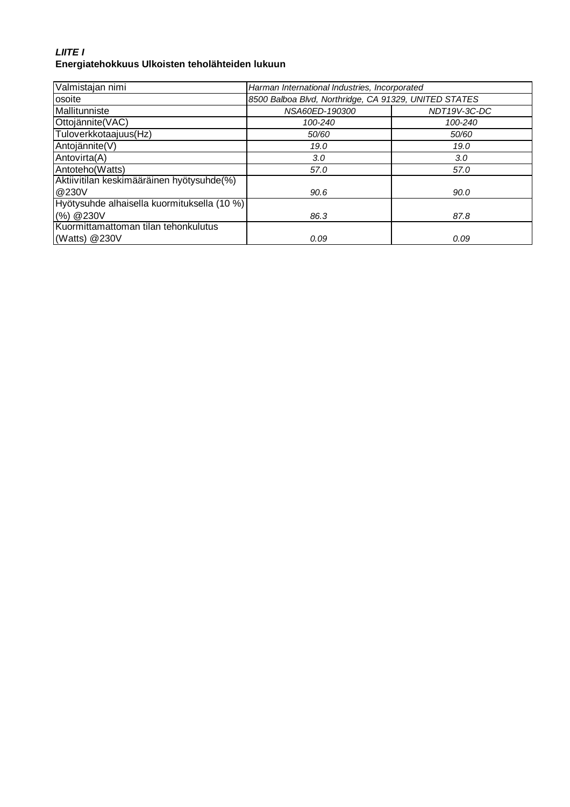# **LIITE I Energiatehokkuus Ulkoisten teholähteiden lukuun**

| Valmistajan nimi                            | Harman International Industries, Incorporated         |              |
|---------------------------------------------|-------------------------------------------------------|--------------|
| osoite                                      | 8500 Balboa Blvd, Northridge, CA 91329, UNITED STATES |              |
| Mallitunniste                               | NSA60ED-190300                                        | NDT19V-3C-DC |
| Ottojännite(VAC)                            | 100-240                                               | 100-240      |
| Tuloverkkotaajuus(Hz)                       | 50/60                                                 | 50/60        |
| Antojännite(V)                              | 19.0                                                  | 19.0         |
| Antovirta(A)                                | 3.0                                                   | 3.0          |
| Antoteho(Watts)                             | 57.0                                                  | 57.0         |
| Aktiivitilan keskimääräinen hyötysuhde(%)   |                                                       |              |
| @230V                                       | 90.6                                                  | 90.0         |
| Hyötysuhde alhaisella kuormituksella (10 %) |                                                       |              |
| (%) @ 230V                                  | 86.3                                                  | 87.8         |
| Kuormittamattoman tilan tehonkulutus        |                                                       |              |
| (Watts) @230V                               | 0.09                                                  | 0.09         |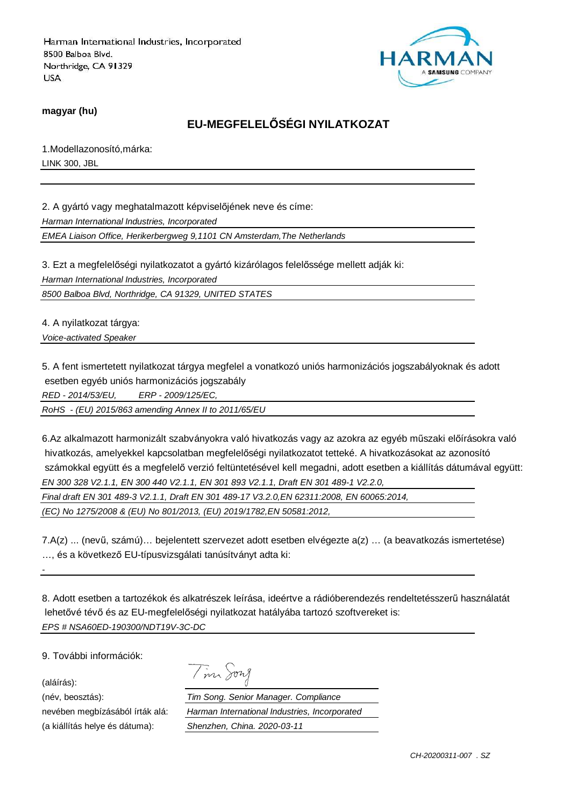

**magyar (hu)**

# **EU-MEGFELELŐSÉGI NYILATKOZAT**

1.Modellazonosító,márka: LINK 300, JBL

2. A gyártó vagy meghatalmazott képviselőjének neve és címe:

Harman International Industries, Incorporated

EMEA Liaison Office, Herikerbergweg 9,1101 CN Amsterdam,The Netherlands

3. Ezt a megfelelőségi nyilatkozatot a gyártó kizárólagos felelőssége mellett adják ki:

Harman International Industries, Incorporated

8500 Balboa Blvd, Northridge, CA 91329, UNITED STATES

4. A nyilatkozat tárgya:

Voice-activated Speaker

5. A fent ismertetett nyilatkozat tárgya megfelel a vonatkozó uniós harmonizációs jogszabályoknak és adott esetben egyéb uniós harmonizációs jogszabály

RED - 2014/53/EU, ERP - 2009/125/EC,

RoHS - (EU) 2015/863 amending Annex II to 2011/65/EU

6.Az alkalmazott harmonizált szabványokra való hivatkozás vagy az azokra az egyéb műszaki előírásokra való hivatkozás, amelyekkel kapcsolatban megfelelőségi nyilatkozatot tetteké. A hivatkozásokat az azonosító számokkal együtt és a megfelelő verzió feltüntetésével kell megadni, adott esetben a kiállítás dátumával együtt: EN 300 328 V2.1.1, EN 300 440 V2.1.1, EN 301 893 V2.1.1, Draft EN 301 489-1 V2.2.0,

Final draft EN 301 489-3 V2.1.1, Draft EN 301 489-17 V3.2.0,EN 62311:2008, EN 60065:2014,

(EC) No 1275/2008 & (EU) No 801/2013, (EU) 2019/1782,EN 50581:2012,

7.A(z) ... (nevű, számú)… bejelentett szervezet adott esetben elvégezte a(z) … (a beavatkozás ismertetése) …, és a következő EU-típusvizsgálati tanúsítványt adta ki:

8. Adott esetben a tartozékok és alkatrészek leírása, ideértve a rádióberendezés rendeltetésszerű használatát lehetővé tévő és az EU-megfelelőségi nyilatkozat hatályába tartozó szoftvereket is: EPS # NSA60ED-190300/NDT19V-3C-DC

9. További információk:

(aláírás):

-

(név, beosztás):

nevében megbízásából írták alá: (a kiállítás helye és dátuma):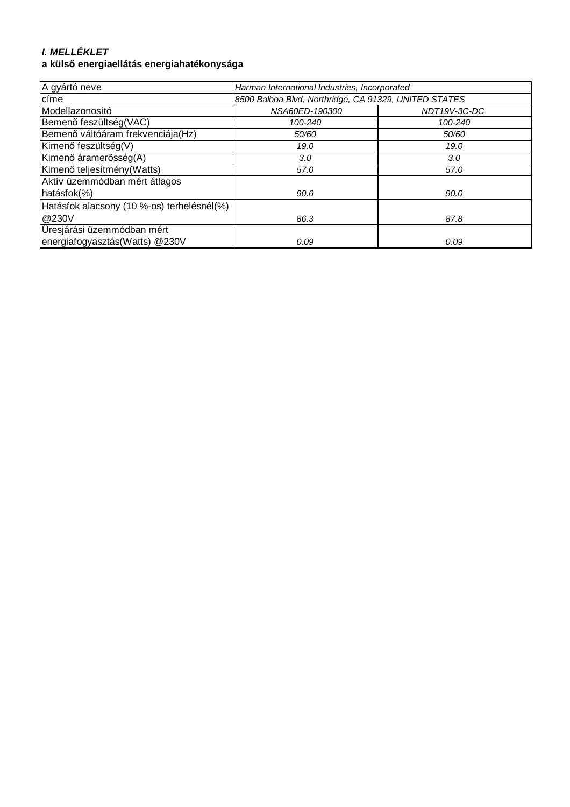# **I. MELLÉKLET**

# **a külső energiaellátás energiahatékonysága**

| A gyártó neve                              | Harman International Industries, Incorporated         |              |
|--------------------------------------------|-------------------------------------------------------|--------------|
| címe                                       | 8500 Balboa Blvd, Northridge, CA 91329, UNITED STATES |              |
| Modellazonosító                            | NSA60ED-190300                                        | NDT19V-3C-DC |
| Bemenő feszültség(VAC)                     | 100-240                                               | 100-240      |
| Bemenő váltóáram frekvenciája(Hz)          | 50/60                                                 | 50/60        |
| Kimenő feszültség(V)                       | 19.0                                                  | 19.0         |
| Kimenő áramerősség(A)                      | 3.0                                                   | 3.0          |
| Kimenő teljesítmény (Watts)                | 57.0                                                  | 57.0         |
| Aktív üzemmódban mért átlagos              |                                                       |              |
| hatásfok(%)                                | 90.6                                                  | 90.0         |
| Hatásfok alacsony (10 %-os) terhelésnél(%) |                                                       |              |
| @230V                                      | 86.3                                                  | 87.8         |
| Üresjárási üzemmódban mért                 |                                                       |              |
| energiafogyasztás(Watts) @230V             | 0.09                                                  | 0.09         |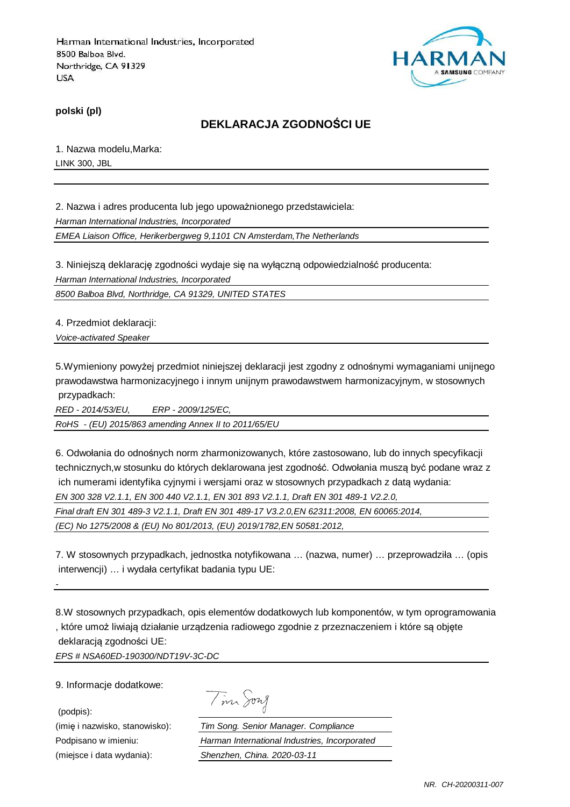

**polski (pl)**

# **DEKLARACJA ZGODNOŚCI UE**

1. Nazwa modelu,Marka: LINK 300, JBL

2. Nazwa i adres producenta lub jego upoważnionego przedstawiciela: Harman International Industries, Incorporated EMEA Liaison Office, Herikerbergweg 9,1101 CN Amsterdam,The Netherlands

3. Niniejszą deklarację zgodności wydaje się na wyłączną odpowiedzialność producenta: Harman International Industries, Incorporated

8500 Balboa Blvd, Northridge, CA 91329, UNITED STATES

4. Przedmiot deklaracji:

Voice-activated Speaker

5.Wymieniony powyżej przedmiot niniejszej deklaracji jest zgodny z odnośnymi wymaganiami unijnego prawodawstwa harmonizacyjnego i innym unijnym prawodawstwem harmonizacyjnym, w stosownych przypadkach:

RED - 2014/53/EU, ERP - 2009/125/EC,

RoHS - (EU) 2015/863 amending Annex II to 2011/65/EU

6. Odwołania do odnośnych norm zharmonizowanych, które zastosowano, lub do innych specyfikacji technicznych,w stosunku do których deklarowana jest zgodność. Odwołania muszą być podane wraz z ich numerami identyfika cyjnymi i wersjami oraz w stosownych przypadkach z datą wydania: EN 300 328 V2.1.1, EN 300 440 V2.1.1, EN 301 893 V2.1.1, Draft EN 301 489-1 V2.2.0, Final draft EN 301 489-3 V2.1.1, Draft EN 301 489-17 V3.2.0,EN 62311:2008, EN 60065:2014, (EC) No 1275/2008 & (EU) No 801/2013, (EU) 2019/1782,EN 50581:2012,

7. W stosownych przypadkach, jednostka notyfikowana … (nazwa, numer) … przeprowadziła … (opis interwencji) … i wydała certyfikat badania typu UE:

8.W stosownych przypadkach, opis elementów dodatkowych lub komponentów, w tym oprogramowania , które umoż liwiają działanie urządzenia radiowego zgodnie z przeznaczeniem i które są objęte deklaracją zgodności UE: EPS # NSA60ED-190300/NDT19V-3C-DC

9. Informacje dodatkowe:

-

(podpis):

Tim Song

(imię i nazwisko, stanowisko): Tim Song. Senior Manager. Compliance Podpisano w imieniu: Harman International Industries, Incorporated (miejsce i data wydania): Shenzhen, China. 2020-03-11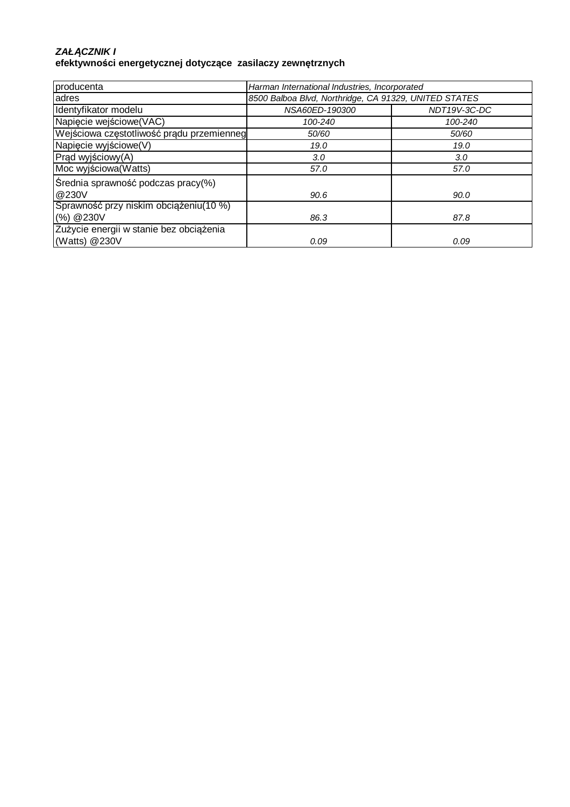#### **ZAŁ***Ą***CZNIK I efektywności energetycznej dotyczące zasilaczy zewnętrznych**

| producenta                                | Harman International Industries, Incorporated         |              |
|-------------------------------------------|-------------------------------------------------------|--------------|
| adres                                     | 8500 Balboa Blvd, Northridge, CA 91329, UNITED STATES |              |
| Identyfikator modelu                      | NSA60ED-190300                                        | NDT19V-3C-DC |
| Napięcie wejściowe (VAC)                  | 100-240                                               | 100-240      |
| Wejściowa częstotliwość prądu przemienneg | 50/60                                                 | 50/60        |
| Napięcie wyjściowe(V)                     | 19.0                                                  | 19.0         |
| Prąd wyjściowy(A)                         | 3.0                                                   | 3.0          |
| Moc wyjściowa (Watts)                     | 57.0                                                  | 57.0         |
| Średnia sprawność podczas pracy(%)        |                                                       |              |
| @230V                                     | 90.6                                                  | 90.0         |
| Sprawność przy niskim obciążeniu(10 %)    |                                                       |              |
| (%) @230V                                 | 86.3                                                  | 87.8         |
| Zużycie energii w stanie bez obciążenia   |                                                       |              |
| (Watts) @230V                             | 0.09                                                  | 0.09         |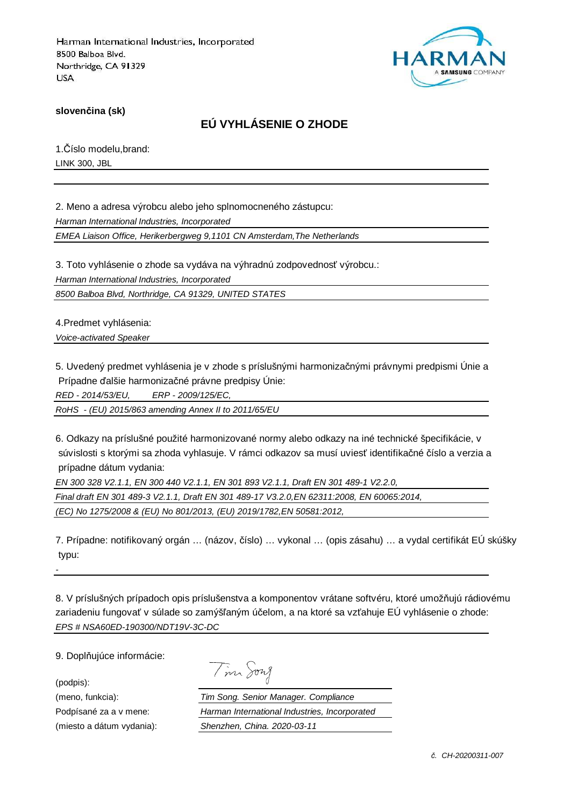

**slovenčina (sk)**

# **EÚ VYHLÁSENIE O ZHODE**

1.Číslo modelu,brand: LINK 300, JBL

2. Meno a adresa výrobcu alebo jeho splnomocneného zástupcu: Harman International Industries, Incorporated EMEA Liaison Office, Herikerbergweg 9,1101 CN Amsterdam,The Netherlands

3. Toto vyhlásenie o zhode sa vydáva na výhradnú zodpovednosť výrobcu.:

Harman International Industries, Incorporated

8500 Balboa Blvd, Northridge, CA 91329, UNITED STATES

4.Predmet vyhlásenia:

Voice-activated Speaker

5. Uvedený predmet vyhlásenia je v zhode s príslušnými harmonizačnými právnymi predpismi Únie a Prípadne ďalšie harmonizačné právne predpisy Únie:

RED - 2014/53/EU, ERP - 2009/125/EC,

RoHS - (EU) 2015/863 amending Annex II to 2011/65/EU

6. Odkazy na príslušné použité harmonizované normy alebo odkazy na iné technické špecifikácie, v súvislosti s ktorými sa zhoda vyhlasuje. V rámci odkazov sa musí uviesť identifikačné číslo a verzia a prípadne dátum vydania:

EN 300 328 V2.1.1, EN 300 440 V2.1.1, EN 301 893 V2.1.1, Draft EN 301 489-1 V2.2.0, Final draft EN 301 489-3 V2.1.1, Draft EN 301 489-17 V3.2.0,EN 62311:2008, EN 60065:2014, (EC) No 1275/2008 & (EU) No 801/2013, (EU) 2019/1782,EN 50581:2012,

7. Prípadne: notifikovaný orgán … (názov, číslo) … vykonal … (opis zásahu) … a vydal certifikát EÚ skúšky typu:

8. V príslušných prípadoch opis príslušenstva a komponentov vrátane softvéru, ktoré umožňujú rádiovému zariadeniu fungovať v súlade so zamýšľaným účelom, a na ktoré sa vzťahuje EÚ vyhlásenie o zhode: EPS # NSA60ED-190300/NDT19V-3C-DC

9. Doplňujúce informácie:

(podpis):

-

| $\cdot$ | vn I<br>4 |
|---------|-----------|
|         |           |

(meno, funkcia): Tim Song. Senior Manager. Compliance Podpísané za a v mene: Harman International Industries, Incorporated (miesto a dátum vydania): Shenzhen, China. 2020-03-11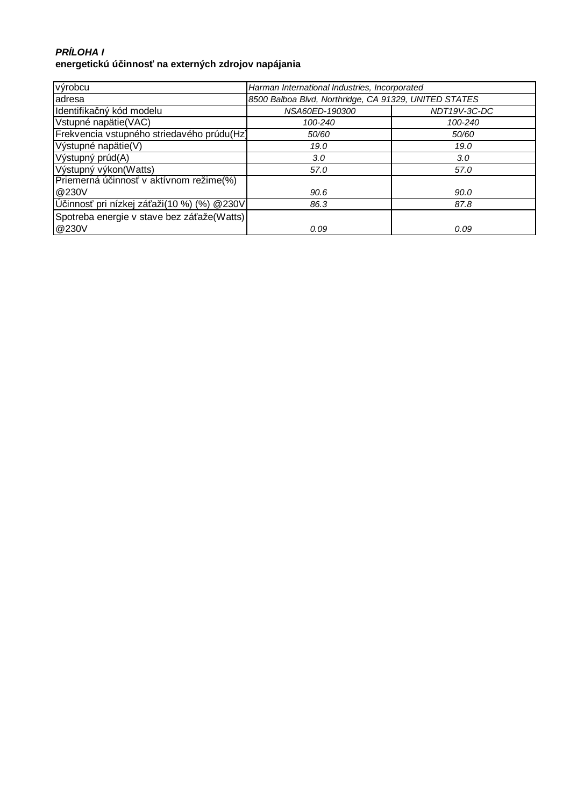## **PRÍLOHA I energetickú účinnosť na externých zdrojov napájania**

| výrobcu                                    | Harman International Industries, Incorporated         |              |
|--------------------------------------------|-------------------------------------------------------|--------------|
| adresa                                     | 8500 Balboa Blvd, Northridge, CA 91329, UNITED STATES |              |
| Identifikačný kód modelu                   | NSA60ED-190300                                        | NDT19V-3C-DC |
| Vstupné napätie(VAC)                       | 100-240                                               | 100-240      |
| Frekvencia vstupného striedavého prúdu(Hz) | 50/60                                                 | 50/60        |
| Výstupné napätie(V)                        | 19.0                                                  | 19.0         |
| Výstupný prúd(A)                           | 3.0                                                   | 3.0          |
| Výstupný výkon(Watts)                      | 57.0                                                  | 57.0         |
| Priemerná účinnosť v aktívnom režime(%)    |                                                       |              |
| @230V                                      | 90.6                                                  | 90.0         |
| Účinnosť pri nízkej záťaži(10 %) (%) @230V | 86.3                                                  | 87.8         |
| Spotreba energie v stave bez záťaže(Watts) |                                                       |              |
| @230V                                      | 0.09                                                  | 0.09         |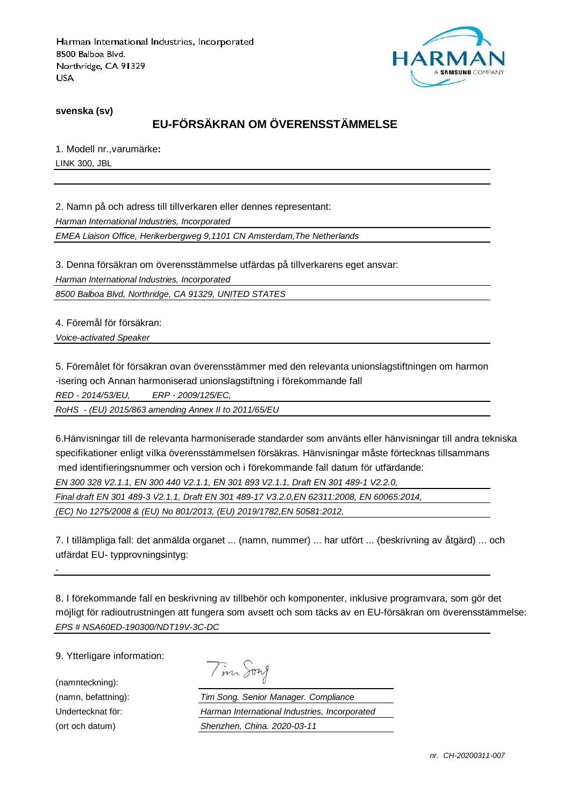

**svenska (sv)**

# **EU-FÖRSÄKRAN OM ÖVERENSSTÄMMELSE**

1. Modell nr.,varumärke**:** LINK 300, JBL

2. Namn på och adress till tillverkaren eller dennes representant: Harman International Industries, Incorporated EMEA Liaison Office, Herikerbergweg 9,1101 CN Amsterdam,The Netherlands

3. Denna försäkran om överensstämmelse utfärdas på tillverkarens eget ansvar:

Harman International Industries, Incorporated

8500 Balboa Blvd, Northridge, CA 91329, UNITED STATES

4. Föremål för försäkran:

Voice-activated Speaker

5. Föremålet för försäkran ovan överensstämmer med den relevanta unionslagstiftningen om harmon -isering och Annan harmoniserad unionslagstiftning i förekommande fall RED - 2014/53/EU, ERP - 2009/125/EC,

RoHS - (EU) 2015/863 amending Annex II to 2011/65/EU

6.Hänvisningar till de relevanta harmoniserade standarder som använts eller hänvisningar till andra tekniska specifikationer enligt vilka överensstämmelsen försäkras. Hänvisningar måste förtecknas tillsammans med identifieringsnummer och version och i förekommande fall datum för utfärdande: EN 300 328 V2.1.1, EN 300 440 V2.1.1, EN 301 893 V2.1.1, Draft EN 301 489-1 V2.2.0, Final draft EN 301 489-3 V2.1.1, Draft EN 301 489-17 V3.2.0,EN 62311:2008, EN 60065:2014,

(EC) No 1275/2008 & (EU) No 801/2013, (EU) 2019/1782,EN 50581:2012,

7. I tillämpliga fall: det anmälda organet ... (namn, nummer) ... har utfört ... (beskrivning av åtgärd) ... och utfärdat EU- typprovningsintyg:

8. I förekommande fall en beskrivning av tillbehör och komponenter, inklusive programvara, som gör det möjligt för radioutrustningen att fungera som avsett och som täcks av en EU-försäkran om överensstämmelse: EPS # NSA60ED-190300/NDT19V-3C-DC

9. Ytterligare information:

(namnteckning):

-

|  | 1721 M |
|--|--------|
|--|--------|

(namn, befattning): Tim Song. Senior Manager. Compliance Undertecknat för: Harman International Industries, Incorporated (ort och datum) Shenzhen, China. 2020-03-11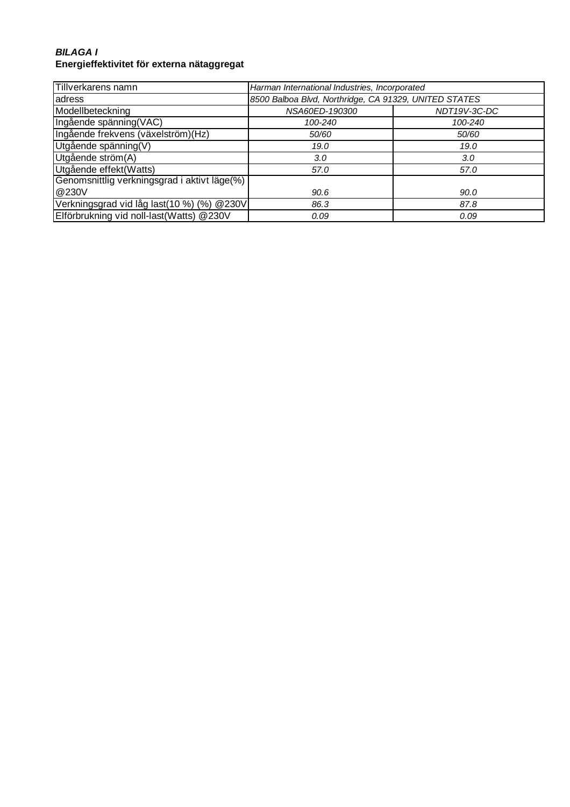### **BILAGA I Energieffektivitet för externa nätaggregat**

| Tillverkarens namn                           | Harman International Industries, Incorporated         |              |
|----------------------------------------------|-------------------------------------------------------|--------------|
| adress                                       | 8500 Balboa Blvd, Northridge, CA 91329, UNITED STATES |              |
| Modellbeteckning                             | NSA60ED-190300                                        | NDT19V-3C-DC |
| Ingående spänning(VAC)                       | 100-240                                               | 100-240      |
| Ingående frekvens (växelström)(Hz)           | 50/60                                                 | 50/60        |
| Utgående spänning(V)                         | 19.0                                                  | 19.0         |
| Utgående ström(A)                            | 3.0                                                   | 3.0          |
| Utgående effekt(Watts)                       | 57.0                                                  | 57.0         |
| Genomsnittlig verkningsgrad i aktivt läge(%) |                                                       |              |
| @230V                                        | 90.6                                                  | 90.0         |
| Verkningsgrad vid låg last(10 %) (%) @230V   | 86.3                                                  | 87.8         |
| Elförbrukning vid noll-last(Watts) @230V     | 0.09                                                  | 0.09         |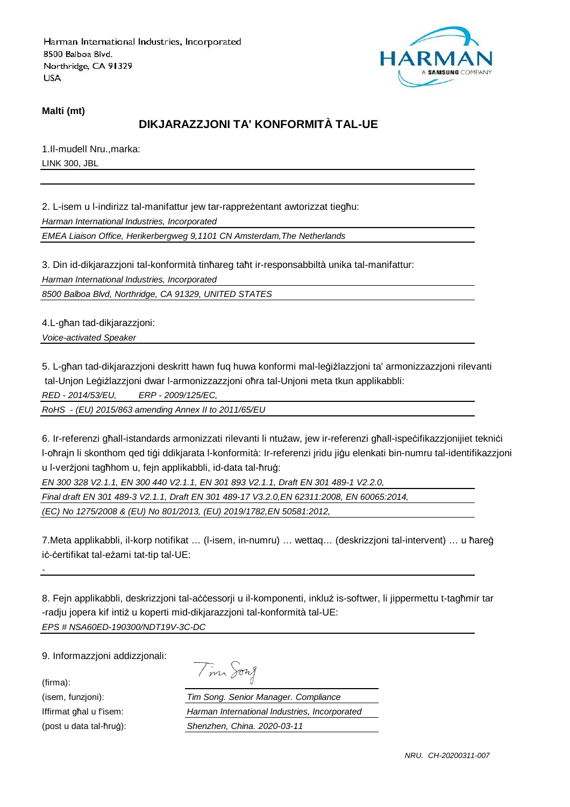

#### **Malti (mt)**

# **DIKJARAZZJONI TA' KONFORMITÀ TAL-UE**

1.Il-mudell Nru.,marka: LINK 300, JBL

2. L-isem u l-indirizz tal-manifattur jew tar-rappreżentant awtorizzat tiegħu: Harman International Industries, Incorporated

EMEA Liaison Office, Herikerbergweg 9,1101 CN Amsterdam,The Netherlands

3. Din id-dikjarazzjoni tal-konformità tinħareg taħt ir-responsabbiltà unika tal-manifattur:

Harman International Industries, Incorporated

8500 Balboa Blvd, Northridge, CA 91329, UNITED STATES

4.L-għan tad-dikjarazzjoni: Voice-activated Speaker

5. L-għan tad-dikjarazzjoni deskritt hawn fuq huwa konformi mal-leġiżlazzjoni ta' armonizzazzjoni rilevanti tal-Unjon Leġiżlazzjoni dwar l-armonizzazzjoni oħra tal-Unjoni meta tkun applikabbli:

RED - 2014/53/EU, ERP - 2009/125/EC,

RoHS - (EU) 2015/863 amending Annex II to 2011/65/EU

6. Ir-referenzi għall-istandards armonizzati rilevanti li ntużaw, jew ir-referenzi għall-ispeċifikazzjonijiet tekniċi l-oħrajn li skonthom qed tiġi ddikjarata l-konformità: Ir-referenzi jridu jiġu elenkati bin-numru tal-identifikazzjoni u l-verżjoni tagħhom u, fejn applikabbli, id-data tal-ħruġ:

EN 300 328 V2.1.1, EN 300 440 V2.1.1, EN 301 893 V2.1.1, Draft EN 301 489-1 V2.2.0,

Final draft EN 301 489-3 V2.1.1, Draft EN 301 489-17 V3.2.0,EN 62311:2008, EN 60065:2014,

(EC) No 1275/2008 & (EU) No 801/2013, (EU) 2019/1782,EN 50581:2012,

7.Meta applikabbli, il-korp notifikat … (l-isem, in-numru) … wettaq… (deskrizzjoni tal-intervent) … u ħareġ iċ-ċertifikat tal-eżami tat-tip tal-UE:

8. Fejn applikabbli, deskrizzjoni tal-aċċessorji u il-komponenti, inkluż is-softwer, li jippermettu t-tagħmir tar -radju jopera kif intiż u koperti mid-dikjarazzjoni tal-konformità tal-UE: EPS # NSA60ED-190300/NDT19V-3C-DC

9. Informazzjoni addizzjonali:

(firma):

-

Tim Song

(isem, funzjoni): Tim Song. Senior Manager. Compliance Iffirmat għal u f'isem: Harman International Industries, Incorporated (post u data tal-ħruġ): Shenzhen, China. 2020-03-11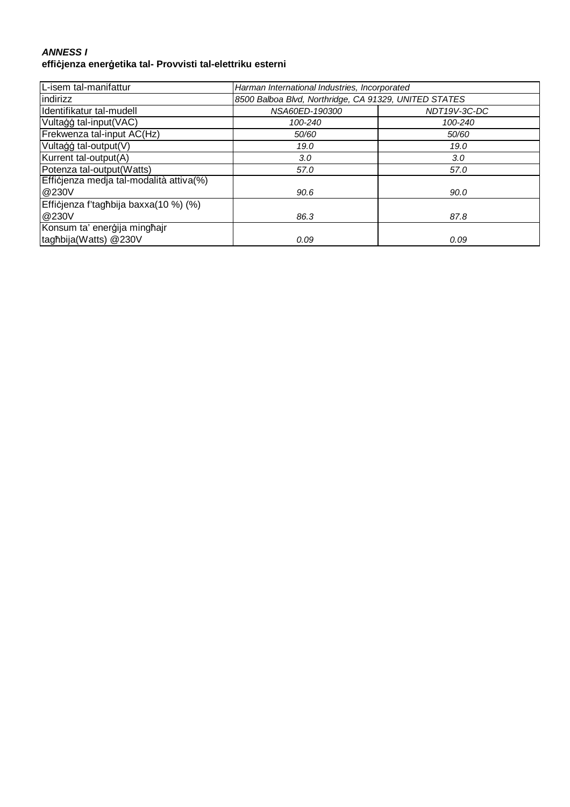#### **ANNESS I effiċjenza enerġetika tal- Provvisti tal-elettriku esterni**

| L-isem tal-manifattur                   | Harman International Industries, Incorporated         |              |
|-----------------------------------------|-------------------------------------------------------|--------------|
| indirizz                                | 8500 Balboa Blvd, Northridge, CA 91329, UNITED STATES |              |
| Identifikatur tal-mudell                | NSA60ED-190300                                        | NDT19V-3C-DC |
| Vultaģģ tal-input(VAC)                  | 100-240                                               | 100-240      |
| Frekwenza tal-input AC(Hz)              | 50/60                                                 | 50/60        |
| Vultaģģ tal-output(V)                   | 19.0                                                  | 19.0         |
| Kurrent tal-output(A)                   | 3.0                                                   | 3.0          |
| Potenza tal-output(Watts)               | 57.0                                                  | 57.0         |
| Efficjenza medja tal-modalità attiva(%) |                                                       |              |
| @230V                                   | 90.6                                                  | 90.0         |
| Efficjenza f'tagħbija baxxa(10 %) (%)   |                                                       |              |
| @230V                                   | 86.3                                                  | 87.8         |
| Konsum ta' enerģija minghajr            |                                                       |              |
| tagħbija(Watts) @230V                   | 0.09                                                  | 0.09         |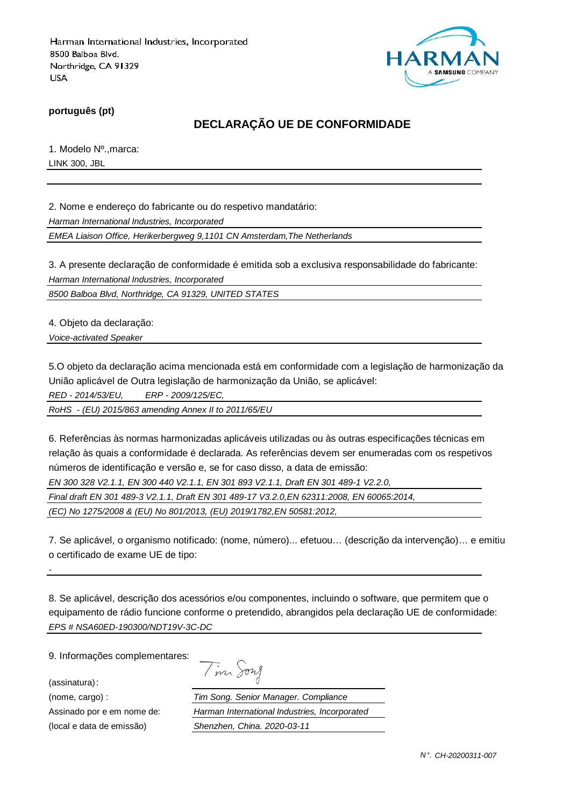

**português (pt)**

# **DECLARAÇÃO UE DE CONFORMIDADE**

1. Modelo Nº.,marca: LINK 300, JBL

2. Nome e endereço do fabricante ou do respetivo mandatário:

Harman International Industries, Incorporated

EMEA Liaison Office, Herikerbergweg 9,1101 CN Amsterdam,The Netherlands

3. A presente declaração de conformidade é emitida sob a exclusiva responsabilidade do fabricante: Harman International Industries, Incorporated

8500 Balboa Blvd, Northridge, CA 91329, UNITED STATES

4. Objeto da declaração:

Voice-activated Speaker

5.O objeto da declaração acima mencionada está em conformidade com a legislação de harmonização da União aplicável de Outra legislação de harmonização da União, se aplicável:

RED - 2014/53/EU, ERP - 2009/125/EC,

RoHS - (EU) 2015/863 amending Annex II to 2011/65/EU

6. Referências às normas harmonizadas aplicáveis utilizadas ou às outras especificações técnicas em relação às quais a conformidade é declarada. As referências devem ser enumeradas com os respetivos números de identificação e versão e, se for caso disso, a data de emissão:

EN 300 328 V2.1.1, EN 300 440 V2.1.1, EN 301 893 V2.1.1, Draft EN 301 489-1 V2.2.0,

Final draft EN 301 489-3 V2.1.1, Draft EN 301 489-17 V3.2.0,EN 62311:2008, EN 60065:2014,

(EC) No 1275/2008 & (EU) No 801/2013, (EU) 2019/1782,EN 50581:2012,

7. Se aplicável, o organismo notificado: (nome, número)... efetuou… (descrição da intervenção)… e emitiu o certificado de exame UE de tipo:

8. Se aplicável, descrição dos acessórios e/ou componentes, incluindo o software, que permitem que o equipamento de rádio funcione conforme o pretendido, abrangidos pela declaração UE de conformidade: EPS # NSA60ED-190300/NDT19V-3C-DC

9. Informações complementares:

(assinatura):

-

| $\backsim$ | 1227 |
|------------|------|
|            |      |

(nome, cargo) : Tim Song. Senior Manager. Compliance Assinado por e em nome de: Harman International Industries, Incorporated (local e data de emissão) Shenzhen, China. 2020-03-11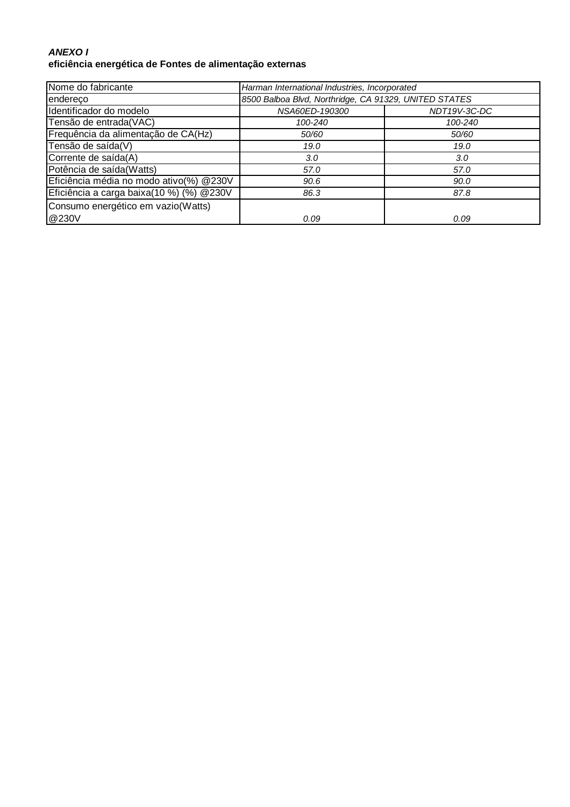### **ANEXO I eficiência energética de Fontes de alimentação externas**

| Nome do fabricante                        | Harman International Industries, Incorporated         |              |
|-------------------------------------------|-------------------------------------------------------|--------------|
| endereco                                  | 8500 Balboa Blvd, Northridge, CA 91329, UNITED STATES |              |
| Identificador do modelo                   | NSA60ED-190300                                        | NDT19V-3C-DC |
| Tensão de entrada(VAC)                    | 100-240                                               | 100-240      |
| Frequência da alimentação de CA(Hz)       | 50/60                                                 | 50/60        |
| Tensão de saída(V)                        | 19.0                                                  | 19.0         |
| Corrente de saída(A)                      | 3.0                                                   | 3.0          |
| Potência de saída(Watts)                  | 57.0                                                  | 57.0         |
| Eficiência média no modo ativo(%) @230V   | 90.6                                                  | 90.0         |
| Eficiência a carga baixa(10 %) (%) @ 230V | 86.3                                                  | 87.8         |
| Consumo energético em vazio(Watts)        |                                                       |              |
| @230V                                     | 0.09                                                  | 0.09         |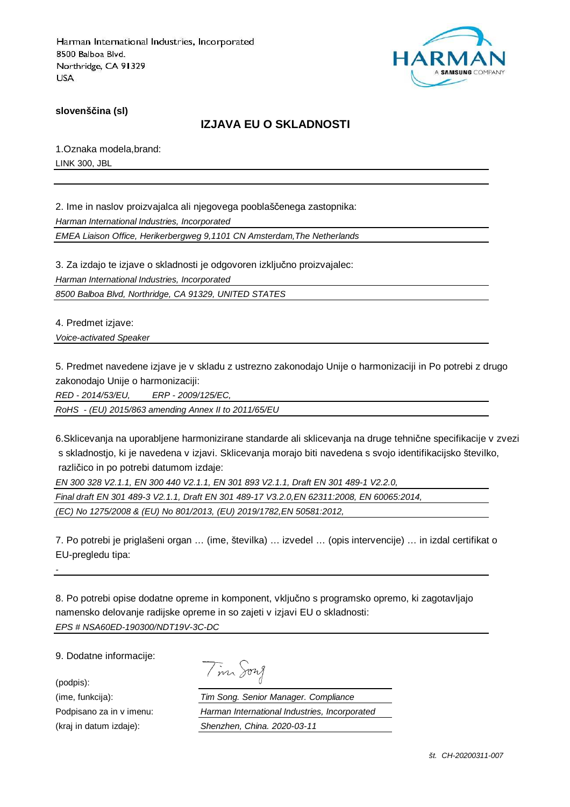

**slovenščina (sl)**

## **IZJAVA EU O SKLADNOSTI**

1.Oznaka modela,brand: LINK 300, JBL

2. Ime in naslov proizvajalca ali njegovega pooblaščenega zastopnika: Harman International Industries, Incorporated EMEA Liaison Office, Herikerbergweg 9,1101 CN Amsterdam,The Netherlands

3. Za izdajo te izjave o skladnosti je odgovoren izključno proizvajalec: Harman International Industries, Incorporated 8500 Balboa Blvd, Northridge, CA 91329, UNITED STATES

4. Predmet izjave:

Voice-activated Speaker

5. Predmet navedene izjave je v skladu z ustrezno zakonodajo Unije o harmonizaciji in Po potrebi z drugo zakonodajo Unije o harmonizaciji:

RED - 2014/53/EU, ERP - 2009/125/EC,

RoHS - (EU) 2015/863 amending Annex II to 2011/65/EU

6.Sklicevanja na uporabljene harmonizirane standarde ali sklicevanja na druge tehnične specifikacije v zvezi s skladnostjo, ki je navedena v izjavi. Sklicevanja morajo biti navedena s svojo identifikacijsko številko, različico in po potrebi datumom izdaje:

EN 300 328 V2.1.1, EN 300 440 V2.1.1, EN 301 893 V2.1.1, Draft EN 301 489-1 V2.2.0,

Final draft EN 301 489-3 V2.1.1, Draft EN 301 489-17 V3.2.0,EN 62311:2008, EN 60065:2014,

(EC) No 1275/2008 & (EU) No 801/2013, (EU) 2019/1782,EN 50581:2012,

7. Po potrebi je priglašeni organ … (ime, številka) … izvedel … (opis intervencije) … in izdal certifikat o EU-pregledu tipa:

8. Po potrebi opise dodatne opreme in komponent, vključno s programsko opremo, ki zagotavljajo namensko delovanje radijske opreme in so zajeti v izjavi EU o skladnosti: EPS # NSA60ED-190300/NDT19V-3C-DC

9. Dodatne informacije:

(podpis):

-

|  | 172.7 |
|--|-------|
|--|-------|

(ime, funkcija): Tim Song. Senior Manager. Compliance Podpisano za in v imenu: Harman International Industries, Incorporated (kraj in datum izdaje): Shenzhen, China. 2020-03-11